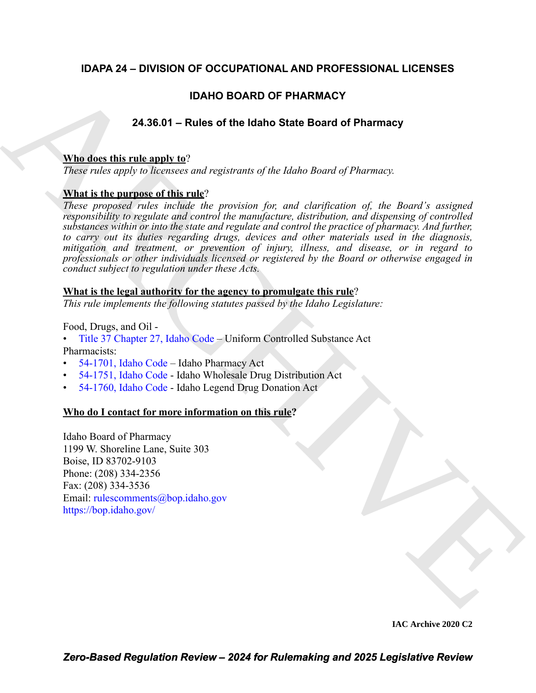### **IDAPA 24 – DIVISION OF OCCUPATIONAL AND PROFESSIONAL LICENSES**

### **IDAHO BOARD OF PHARMACY**

### **24.36.01 – Rules of the Idaho State Board of Pharmacy**

#### **Who does this rule apply to**?

*These rules apply to licensees and registrants of the Idaho Board of Pharmacy.*

### **What is the purpose of this rule**?

**IDAHO BOARD OF PHARMA[C](https://legislature.idaho.gov/statutesrules/idstat/Title37/T37CH27/)Y**<br>
24.38.01 – Rules of the Idaho State Board of Pharmacy<br>
These revise apply to illeventes and registration of the Idaho Board of Pharmacy.<br> **Mini is the particular and the revision for the Idaho B** *These proposed rules include the provision for, and clarification of, the Board's assigned responsibility to regulate and control the manufacture, distribution, and dispensing of controlled substances within or into the state and regulate and control the practice of pharmacy. And further, to carry out its duties regarding drugs, devices and other materials used in the diagnosis, mitigation and treatment, or prevention of injury, illness, and disease, or in regard to professionals or other individuals licensed or registered by the Board or otherwise engaged in conduct subject to regulation under these Acts.*

### **What is the legal authority for the agency to promulgate this rule**?

*This rule implements the following statutes passed by the Idaho Legislature:*

Food, Drugs, and Oil -

- Title 37 Chapter 27, Idaho Code Uniform Controlled Substance Act Pharmacists:
- 54-1701, Idaho Code Idaho Pharmacy Act
- 54-1751, Idaho Code Idaho Wholesale Drug Distribution Act
- 54-1760, Idaho Code Idaho Legend Drug Donation Act

### **Who do I contact for more information on this rule?**

Idaho Board of Pharmacy 1199 W. Shoreline Lane, Suite 303 Boise, ID 83702-9103 Phone: (208) 334-2356 Fax: (208) 334-3536 Email: rulescomments@bop.idaho.gov https://bop.idaho.gov/

**IAC Archive 2020 C2**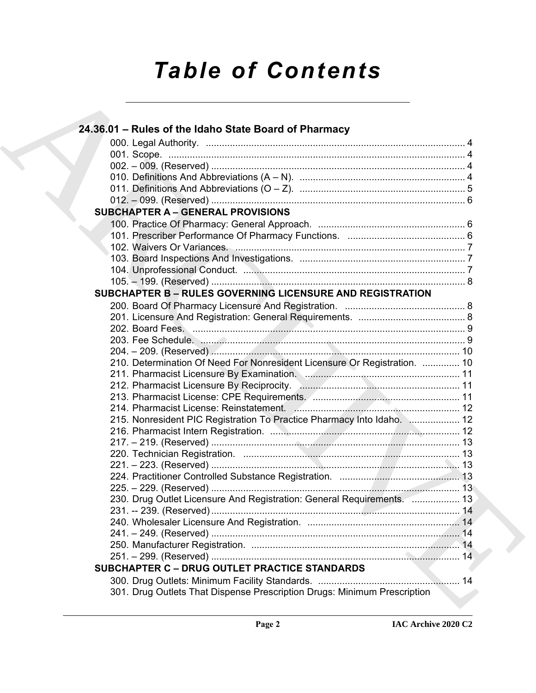# *Table of Contents*

| 24.36.01 - Rules of the Idaho State Board of Pharmacy                     |  |
|---------------------------------------------------------------------------|--|
|                                                                           |  |
|                                                                           |  |
|                                                                           |  |
|                                                                           |  |
|                                                                           |  |
|                                                                           |  |
| <b>SUBCHAPTER A - GENERAL PROVISIONS</b>                                  |  |
|                                                                           |  |
|                                                                           |  |
|                                                                           |  |
|                                                                           |  |
|                                                                           |  |
|                                                                           |  |
| <b>SUBCHAPTER B - RULES GOVERNING LICENSURE AND REGISTRATION</b>          |  |
|                                                                           |  |
|                                                                           |  |
|                                                                           |  |
|                                                                           |  |
|                                                                           |  |
| 210. Determination Of Need For Nonresident Licensure Or Registration.  10 |  |
|                                                                           |  |
|                                                                           |  |
|                                                                           |  |
|                                                                           |  |
| 215. Nonresident PIC Registration To Practice Pharmacy Into Idaho.  12    |  |
|                                                                           |  |
|                                                                           |  |
|                                                                           |  |
|                                                                           |  |
|                                                                           |  |
|                                                                           |  |
| 230. Drug Outlet Licensure And Registration: General Requirements.  13    |  |
|                                                                           |  |
|                                                                           |  |
|                                                                           |  |
|                                                                           |  |
|                                                                           |  |
| <b>SUBCHAPTER C - DRUG OUTLET PRACTICE STANDARDS</b>                      |  |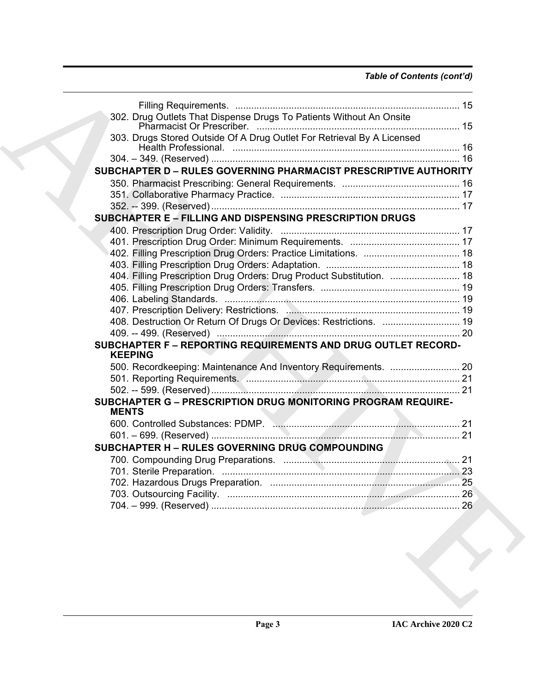### *Table of Contents (cont'd)*

| 302. Drug Outlets That Dispense Drugs To Patients Without An Onsite             |    |
|---------------------------------------------------------------------------------|----|
|                                                                                 |    |
|                                                                                 |    |
| 303. Drugs Stored Outside Of A Drug Outlet For Retrieval By A Licensed          |    |
|                                                                                 |    |
| SUBCHAPTER D - RULES GOVERNING PHARMACIST PRESCRIPTIVE AUTHORITY                |    |
|                                                                                 |    |
|                                                                                 |    |
|                                                                                 |    |
|                                                                                 |    |
| <b>SUBCHAPTER E - FILLING AND DISPENSING PRESCRIPTION DRUGS</b>                 |    |
|                                                                                 |    |
|                                                                                 |    |
|                                                                                 |    |
|                                                                                 |    |
| 404. Filling Prescription Drug Orders: Drug Product Substitution.  18           |    |
|                                                                                 |    |
|                                                                                 |    |
|                                                                                 |    |
| 408. Destruction Or Return Of Drugs Or Devices: Restrictions.  19               |    |
|                                                                                 |    |
| SUBCHAPTER F - REPORTING REQUIREMENTS AND DRUG OUTLET RECORD-<br><b>KEEPING</b> |    |
|                                                                                 |    |
|                                                                                 |    |
|                                                                                 |    |
| SUBCHAPTER G - PRESCRIPTION DRUG MONITORING PROGRAM REQUIRE-                    |    |
| <b>MENTS</b>                                                                    |    |
|                                                                                 |    |
|                                                                                 |    |
|                                                                                 |    |
| SUBCHAPTER H - RULES GOVERNING DRUG COMPOUNDING                                 |    |
|                                                                                 |    |
|                                                                                 | 23 |
|                                                                                 |    |
|                                                                                 | 26 |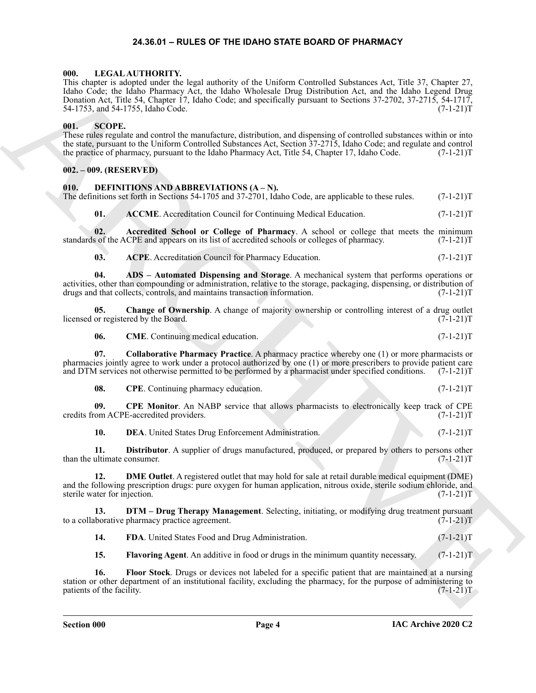#### **24.36.01 – RULES OF THE IDAHO STATE BOARD OF PHARMACY**

#### <span id="page-3-22"></span><span id="page-3-1"></span><span id="page-3-0"></span>**000. LEGAL AUTHORITY.**

However, a superior to the basis of the basis of the basis of the basis of the spin of the spin of the spin of the spin of the spin of the spin of the spin of the spin of the spin of the spin of the spin of the spin of th This chapter is adopted under the legal authority of the Uniform Controlled Substances Act, Title 37, Chapter 27, Idaho Code; the Idaho Pharmacy Act, the Idaho Wholesale Drug Distribution Act, and the Idaho Legend Drug Donation Act, Title 54, Chapter 17, Idaho Code; and specifically pursuant to Sections 37-2702, 37-2715, 54-1717, 54-1753, and 54-1755, Idaho Code. (7-1-21)T

#### <span id="page-3-23"></span><span id="page-3-2"></span>**001. SCOPE.**

These rules regulate and control the manufacture, distribution, and dispensing of controlled substances within or into the state, pursuant to the Uniform Controlled Substances Act, Section 37-2715, Idaho Code; and regulate and control<br>the practice of pharmacy, pursuant to the Idaho Pharmacy Act, Title 54, Chapter 17, Idaho Code. (7-1-21)T the practice of pharmacy, pursuant to the Idaho Pharmacy Act, Title 54, Chapter 17, Idaho Code.

#### <span id="page-3-3"></span>**002. – 009. (RESERVED)**

#### <span id="page-3-5"></span><span id="page-3-4"></span>**010. DEFINITIONS AND ABBREVIATIONS (A – N).**

The definitions set forth in Sections 54-1705 and 37-2701, Idaho Code, are applicable to these rules. (7-1-21)T

<span id="page-3-7"></span><span id="page-3-6"></span>**01.** ACCME. Accreditation Council for Continuing Medical Education. (7-1-21)T

**02.** Accredited School or College of Pharmacy. A school or college that meets the minimum is of the ACPE and appears on its list of accredited schools or colleges of pharmacy. (7-1-21)T standards of the ACPE and appears on its list of accredited schools or colleges of pharmacy.

<span id="page-3-9"></span><span id="page-3-8"></span>**03. ACPE**. Accreditation Council for Pharmacy Education. (7-1-21)T

**04. ADS – Automated Dispensing and Storage**. A mechanical system that performs operations or activities, other than compounding or administration, relative to the storage, packaging, dispensing, or distribution of drugs and that collects, controls, and maintains transaction information. (7-1-21)T

**05.** Change of Ownership. A change of majority ownership or controlling interest of a drug outlet or registered by the Board. (7-1-21)T licensed or registered by the Board.

<span id="page-3-12"></span><span id="page-3-11"></span><span id="page-3-10"></span>**06. CME**. Continuing medical education. (7-1-21)T

**07. Collaborative Pharmacy Practice**. A pharmacy practice whereby one (1) or more pharmacists or pharmacies jointly agree to work under a protocol authorized by one (1) or more prescribers to provide patient care and DTM services not otherwise permitted to be performed by a pharmacist under specified conditions. (7-1-21)T

<span id="page-3-14"></span><span id="page-3-13"></span>**08.** CPE. Continuing pharmacy education. (7-1-21)T

**09. CPE Monitor**. An NABP service that allows pharmacists to electronically keep track of CPE credits from ACPE-accredited providers. (7-1-21)T

<span id="page-3-17"></span><span id="page-3-16"></span><span id="page-3-15"></span>**10. DEA**. United States Drug Enforcement Administration. (7-1-21)T

**11. Distributor**. A supplier of drugs manufactured, produced, or prepared by others to persons other than the ultimate consumer. (7-1-21)T

**12. DME Outlet**. A registered outlet that may hold for sale at retail durable medical equipment (DME) and the following prescription drugs: pure oxygen for human application, nitrous oxide, sterile sodium chloride, and sterile water for injection. (7-1-21)T

**13. DTM – Drug Therapy Management**. Selecting, initiating, or modifying drug treatment pursuant loorative pharmacy practice agreement. to a collaborative pharmacy practice agreement.

<span id="page-3-19"></span><span id="page-3-18"></span>**14. FDA**. United States Food and Drug Administration. (7-1-21)T

<span id="page-3-21"></span><span id="page-3-20"></span>**15. Flavoring Agent**. An additive in food or drugs in the minimum quantity necessary. (7-1-21) T

**16. Floor Stock**. Drugs or devices not labeled for a specific patient that are maintained at a nursing station or other department of an institutional facility, excluding the pharmacy, for the purpose of administering to patients of the facility. (7-1-21)T patients of the facility.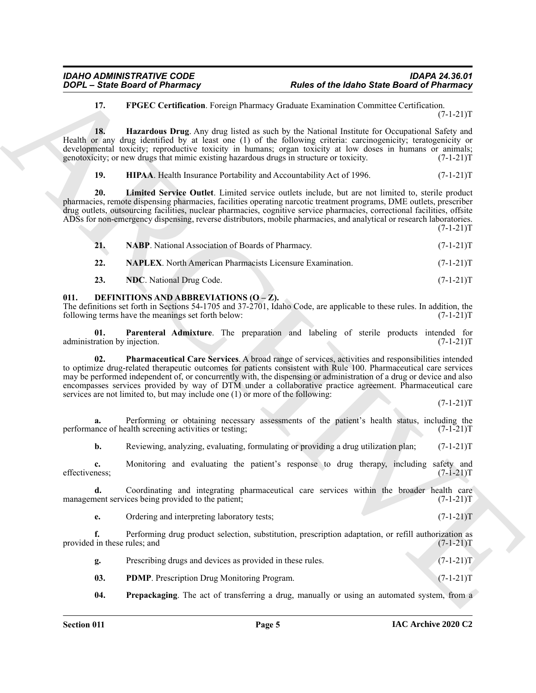#### <span id="page-4-2"></span><span id="page-4-1"></span>**17. FPGEC Certification**. Foreign Pharmacy Graduate Examination Committee Certification.  $(7-1-21)T$

**18. Hazardous Drug**. Any drug listed as such by the National Institute for Occupational Safety and Health or any drug identified by at least one (1) of the following criteria: carcinogenicity; teratogenicity or developmental toxicity; reproductive toxicity in humans; organ toxicity at low doses in humans or animals; genotoxicity; or new drugs that mimic existing hazardous drugs in structure or toxicity. (7-1-21) genotoxicity; or new drugs that mimic existing hazardous drugs in structure or toxicity.

<span id="page-4-4"></span><span id="page-4-3"></span>**19. HIPAA**. Health Insurance Portability and Accountability Act of 1996. (7-1-21)T

**20. Limited Service Outlet**. Limited service outlets include, but are not limited to, sterile product pharmacies, remote dispensing pharmacies, facilities operating narcotic treatment programs, DME outlets, prescriber drug outlets, outsourcing facilities, nuclear pharmacies, cognitive service pharmacies, correctional facilities, offsite ADSs for non-emergency dispensing, reverse distributors, mobile pharmacies, and analytical or research laboratories.  $(7-1-21)T$ 

<span id="page-4-5"></span>

| 21. | <b>NABP.</b> National Association of Boards of Pharmacy. | $(7-1-21)T$ |
|-----|----------------------------------------------------------|-------------|
|     |                                                          |             |

<span id="page-4-7"></span><span id="page-4-6"></span>**22. NAPLEX**. North American Pharmacists Licensure Examination. (7-1-21) (7-1-21)

<span id="page-4-9"></span><span id="page-4-8"></span>**23. NDC**. National Drug Code. (7-1-21)T

#### <span id="page-4-0"></span>**011. DEFINITIONS AND ABBREVIATIONS (O – Z).**

The definitions set forth in Sections 54-1705 and 37-2701, Idaho Code, are applicable to these rules. In addition, the following terms have the meanings set forth below: (7-1-21)T

<span id="page-4-11"></span>**01.** Parenteral Admixture. The preparation and labeling of sterile products intended for ration by injection. (7-1-21) administration by injection.

**FORCE State these data of Photonness** And the **Robert State Board of Photonness**<br>
13. **PHOCE COURTES CONSULTS INTERFERING CONSULTS (2013)**<br>
14. **PHOCE COURTES CONSULTS INTERFERING CONSULTS**<br>
14. **PHOCE COURTES CONSULTS**<br> **02. Pharmaceutical Care Services**. A broad range of services, activities and responsibilities intended to optimize drug-related therapeutic outcomes for patients consistent with Rule 100. Pharmaceutical care services may be performed independent of, or concurrently with, the dispensing or administration of a drug or device and also encompasses services provided by way of DTM under a collaborative practice agreement. Pharmaceutical care services are not limited to, but may include one (1) or more of the following:

 $(7-1-21)T$ 

**a.** Performing or obtaining necessary assessments of the patient's health status, including the nnce of health screening activities or testing;  $(7-1-21)$ performance of health screening activities or testing;

**b.** Reviewing, analyzing, evaluating, formulating or providing a drug utilization plan;  $(7-1-21)$ T

**c.** Monitoring and evaluating the patient's response to drug therapy, including safety and ness;  $(7-1-21)T$ effectiveness; (7-1-21)T

**d.** Coordinating and integrating pharmaceutical care services within the broader health care nent services being provided to the patient; (7-1-21) management services being provided to the patient;

|  |  | Ordering and interpreting laboratory tests; | $(7-1-21)T$ |  |
|--|--|---------------------------------------------|-------------|--|
|--|--|---------------------------------------------|-------------|--|

**f.** Performing drug product selection, substitution, prescription adaptation, or refill authorization as in these rules; and  $(7-1-21)$ provided in these rules; and

<span id="page-4-10"></span>

| Prescribing drugs and devices as provided in these rules. | $(7-1-21)T$ |
|-----------------------------------------------------------|-------------|
| <b>PDMP.</b> Prescription Drug Monitoring Program.        | $(7-1-21)T$ |

<span id="page-4-12"></span>**04. Prepackaging**. The act of transferring a drug, manually or using an automated system, from a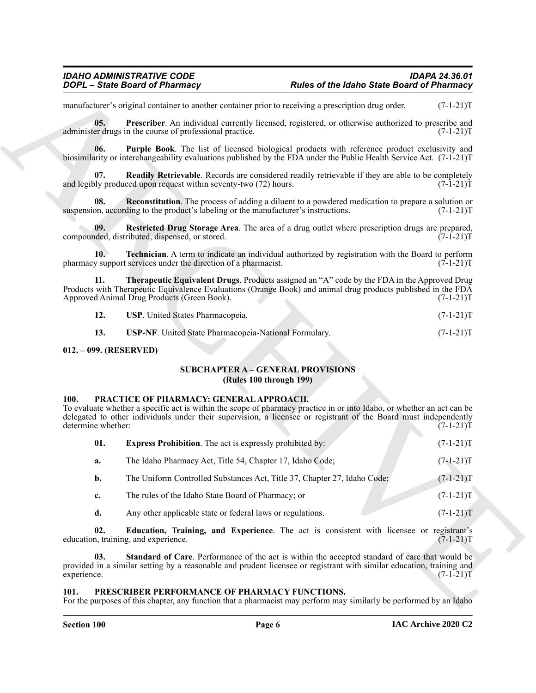<span id="page-5-12"></span><span id="page-5-11"></span><span id="page-5-10"></span><span id="page-5-9"></span><span id="page-5-8"></span><span id="page-5-7"></span><span id="page-5-6"></span>

| 12. | <b>USP.</b> United States Pharmacopeia. | $(7-1-21)T$ |
|-----|-----------------------------------------|-------------|
|     |                                         |             |

#### <span id="page-5-1"></span><span id="page-5-0"></span>**012. – 099. (RESERVED)**

#### **SUBCHAPTER A – GENERAL PROVISIONS (Rules 100 through 199)**

#### <span id="page-5-15"></span><span id="page-5-13"></span><span id="page-5-2"></span>**100. PRACTICE OF PHARMACY: GENERAL APPROACH.**

<span id="page-5-5"></span><span id="page-5-4"></span>

|                            | <b>DOPL</b> - State Board of Pharmacy                                                                | <b>Rules of the Idaho State Board of Pharmacy</b>                                                                                                                                                                                          |             |
|----------------------------|------------------------------------------------------------------------------------------------------|--------------------------------------------------------------------------------------------------------------------------------------------------------------------------------------------------------------------------------------------|-------------|
|                            | manufacturer's original container to another container prior to receiving a prescription drug order. |                                                                                                                                                                                                                                            | $(7-1-21)T$ |
| 05.                        | administer drugs in the course of professional practice.                                             | Prescriber. An individual currently licensed, registered, or otherwise authorized to prescribe and                                                                                                                                         | $(7-1-21)T$ |
| 06.                        |                                                                                                      | <b>Purple Book</b> . The list of licensed biological products with reference product exclusivity and<br>biosimilarity or interchangeability evaluations published by the FDA under the Public Health Service Act. (7-1-21)T                |             |
| 07.                        | and legibly produced upon request within seventy-two (72) hours.                                     | Readily Retrievable. Records are considered readily retrievable if they are able to be completely                                                                                                                                          | $(7-1-21)T$ |
| 08.                        | suspension, according to the product's labeling or the manufacturer's instructions.                  | <b>Reconstitution</b> . The process of adding a diluent to a powdered medication to prepare a solution or                                                                                                                                  | $(7-1-21)T$ |
| 09.                        | compounded, distributed, dispensed, or stored.                                                       | Restricted Drug Storage Area. The area of a drug outlet where prescription drugs are prepared,                                                                                                                                             | $(7-1-21)T$ |
| 10.                        | pharmacy support services under the direction of a pharmacist.                                       | <b>Technician</b> . A term to indicate an individual authorized by registration with the Board to perform                                                                                                                                  | $(7-1-21)T$ |
| 11.                        | Approved Animal Drug Products (Green Book).                                                          | <b>Therapeutic Equivalent Drugs.</b> Products assigned an "A" code by the FDA in the Approved Drug<br>Products with Therapeutic Equivalence Evaluations (Orange Book) and animal drug products published in the FDA                        | $(7-1-21)T$ |
| 12.                        | USP. United States Pharmacopeia.                                                                     |                                                                                                                                                                                                                                            | $(7-1-21)T$ |
| 13.                        | USP-NF. United State Pharmacopeia-National Formulary.                                                |                                                                                                                                                                                                                                            | $(7-1-21)T$ |
| 012. - 099. (RESERVED)     |                                                                                                      |                                                                                                                                                                                                                                            |             |
|                            |                                                                                                      | <b>SUBCHAPTER A - GENERAL PROVISIONS</b><br>(Rules 100 through 199)                                                                                                                                                                        |             |
| 100.<br>determine whether: | PRACTICE OF PHARMACY: GENERAL APPROACH.                                                              | To evaluate whether a specific act is within the scope of pharmacy practice in or into Idaho, or whether an act can be<br>delegated to other individuals under their supervision, a licensee or registrant of the Board must independently | $(7-1-21)T$ |
| 01.                        | <b>Express Prohibition.</b> The act is expressly prohibited by:                                      |                                                                                                                                                                                                                                            | $(7-1-21)T$ |
| a.                         | The Idaho Pharmacy Act, Title 54, Chapter 17, Idaho Code;                                            |                                                                                                                                                                                                                                            | $(7-1-21)T$ |
| b.                         | The Uniform Controlled Substances Act, Title 37, Chapter 27, Idaho Code;                             |                                                                                                                                                                                                                                            | $(7-1-21)T$ |
| c.                         | The rules of the Idaho State Board of Pharmacy; or                                                   |                                                                                                                                                                                                                                            | $(7-1-21)T$ |
| d.                         | Any other applicable state or federal laws or regulations.                                           |                                                                                                                                                                                                                                            | $(7-1-21)T$ |
| 02.                        | education, training, and experience.                                                                 | Education, Training, and Experience. The act is consistent with licensee or registrant's                                                                                                                                                   | $(7-1-21)T$ |
|                            |                                                                                                      | Standard of Care. Performance of the act is within the accepted standard of care that would be<br>provided in a similar setting by a reasonable and prudent licensee or registrant with similar education, training and                    |             |

#### <span id="page-5-17"></span><span id="page-5-16"></span><span id="page-5-14"></span><span id="page-5-3"></span>PRESCRIBER PERFORMANCE OF PHARMACY FUNCTIONS.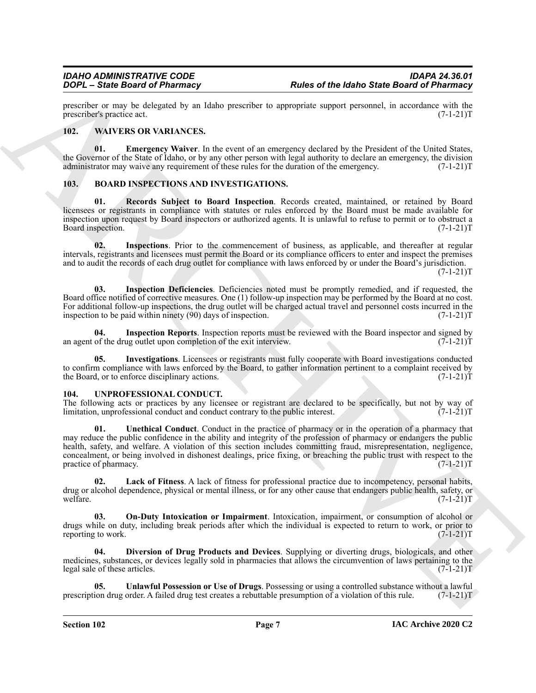prescriber or may be delegated by an Idaho prescriber to appropriate support personnel, in accordance with the prescriber's practice act. (7-1-21)T prescriber's practice act.

#### <span id="page-6-15"></span><span id="page-6-0"></span>**102. WAIVERS OR VARIANCES.**

<span id="page-6-16"></span>**01. Emergency Waiver**. In the event of an emergency declared by the President of the United States, the Governor of the State of Idaho, or by any other person with legal authority to declare an emergency, the division administrator may waive any requirement of these rules for the duration of the emergency. (7-1-21)T

#### <span id="page-6-3"></span><span id="page-6-1"></span>**103. BOARD INSPECTIONS AND INVESTIGATIONS.**

<span id="page-6-8"></span>**01. Records Subject to Board Inspection**. Records created, maintained, or retained by Board licensees or registrants in compliance with statutes or rules enforced by the Board must be made available for inspection upon request by Board inspectors or authorized agents. It is unlawful to refuse to permit or to obstruct a Board inspection. (7-1-21)T

<span id="page-6-6"></span>**02. Inspections**. Prior to the commencement of business, as applicable, and thereafter at regular intervals, registrants and licensees must permit the Board or its compliance officers to enter and inspect the premises and to audit the records of each drug outlet for compliance with laws enforced by or under the Board's jurisdiction.  $(7-1-21)T$ 

<span id="page-6-4"></span>**03. Inspection Deficiencies**. Deficiencies noted must be promptly remedied, and if requested, the Board office notified of corrective measures. One (1) follow-up inspection may be performed by the Board at no cost. For additional follow-up inspections, the drug outlet will be charged actual travel and personnel costs incurred in the inspection to be paid within ninety (90) days of inspection. (7-1-21)T

<span id="page-6-5"></span>**04.** Inspection Reports. Inspection reports must be reviewed with the Board inspector and signed by of the drug outlet upon completion of the exit interview. (7-1-21) an agent of the drug outlet upon completion of the exit interview.

<span id="page-6-7"></span>**05. Investigations**. Licensees or registrants must fully cooperate with Board investigations conducted to confirm compliance with laws enforced by the Board, to gather information pertinent to a complaint received by the Board, or to enforce disciplinary actions. (7-1-21) the Board, or to enforce disciplinary actions.

#### <span id="page-6-9"></span><span id="page-6-2"></span>**104. UNPROFESSIONAL CONDUCT.**

<span id="page-6-13"></span>The following acts or practices by any licensee or registrant are declared to be specifically, but not by way of limitation, unprofessional conduct and conduct contrary to the public interest. (7-1-21) limitation, unprofessional conduct and conduct contrary to the public interest.

From Continue the state of the basis of the basis state is a state of the basis state from Continue the state of the basis of the basis of the basis of the basis of the basis of the basis of the basis of the basis of the **01. Unethical Conduct**. Conduct in the practice of pharmacy or in the operation of a pharmacy that may reduce the public confidence in the ability and integrity of the profession of pharmacy or endangers the public health, safety, and welfare. A violation of this section includes committing fraud, misrepresentation, negligence, concealment, or being involved in dishonest dealings, price fixing, or breaching the public trust with respect to the practice of pharmacy. (7-1-21)T

<span id="page-6-11"></span>**02. Lack of Fitness**. A lack of fitness for professional practice due to incompetency, personal habits, drug or alcohol dependence, physical or mental illness, or for any other cause that endangers public health, safety, or welfare.  $(7-1-21)T$ welfare.  $(7-1-21)T$ 

<span id="page-6-12"></span>**03. On-Duty Intoxication or Impairment**. Intoxication, impairment, or consumption of alcohol or drugs while on duty, including break periods after which the individual is expected to return to work, or prior to reporting to work. (7-1-21)T reporting to work.

<span id="page-6-10"></span>**04. Diversion of Drug Products and Devices**. Supplying or diverting drugs, biologicals, and other medicines, substances, or devices legally sold in pharmacies that allows the circumvention of laws pertaining to the legal sale of these articles. (7-1-21)T

<span id="page-6-14"></span>**Unlawful Possession or Use of Drugs**. Possessing or using a controlled substance without a lawful order. A failed drug test creates a rebuttable presumption of a violation of this rule. (7-1-21)T prescription drug order. A failed drug test creates a rebuttable presumption of a violation of this rule.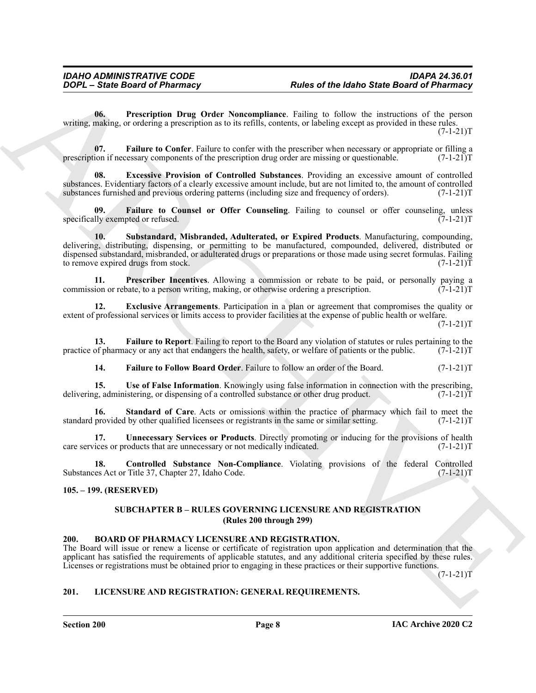<span id="page-7-13"></span>**06. Prescription Drug Order Noncompliance**. Failing to follow the instructions of the person writing, making, or ordering a prescription as to its refills, contents, or labeling except as provided in these rules.  $(7-1-21)T$ 

<span id="page-7-8"></span>**07.** Failure to Confer. Failure to confer with the prescriber when necessary or appropriate or filling a ion if necessary components of the prescription drug order are missing or questionable. (7-1-21) prescription if necessary components of the prescription drug order are missing or questionable.

<span id="page-7-6"></span>**08. Excessive Provision of Controlled Substances**. Providing an excessive amount of controlled substances. Evidentiary factors of a clearly excessive amount include, but are not limited to, the amount of controlled substances furnished and previous ordering patterns (including size and frequency of orders).  $(7-1-21)$ T

<span id="page-7-15"></span><span id="page-7-9"></span>**Failure to Counsel or Offer Counseling**. Failing to counsel or offer counseling, unless pted or refused. (7-1-21)T specifically exempted or refused.

From the state of the state of the base of the base State Board of Pharmacy<br>
Units of the State Board of Pharmacy<br>
Whiles the computer state of the State Board of Pharmacy<br>
whiles the computer state of the state of the st **10. Substandard, Misbranded, Adulterated, or Expired Products**. Manufacturing, compounding, delivering, distributing, dispensing, or permitting to be manufactured, compounded, delivered, distributed or dispensed substandard, misbranded, or adulterated drugs or preparations or those made using secret formulas. Failing to remove expired drugs from stock. (7-1-21)T

<span id="page-7-12"></span>**11. Prescriber Incentives**. Allowing a commission or rebate to be paid, or personally paying a ion or rebate, to a person writing, making, or otherwise ordering a prescription. (7-1-21) commission or rebate, to a person writing, making, or otherwise ordering a prescription.

<span id="page-7-7"></span>**12. Exclusive Arrangements**. Participation in a plan or agreement that compromises the quality or extent of professional services or limits access to provider facilities at the expense of public health or welfare.  $(7-1-21)T$ 

**13. Failure to Report**. Failing to report to the Board any violation of statutes or rules pertaining to the of pharmacy or any act that endangers the health, safety, or welfare of patients or the public. (7-1-21)T practice of pharmacy or any act that endangers the health, safety, or welfare of patients or the public.

<span id="page-7-17"></span><span id="page-7-14"></span><span id="page-7-11"></span><span id="page-7-10"></span>**14. Failure to Follow Board Order**. Failure to follow an order of the Board. (7-1-21)T

**15. Use of False Information**. Knowingly using false information in connection with the prescribing, delivering, administering, or dispensing of a controlled substance or other drug product. (7-1-21)T

**16. Standard of Care**. Acts or omissions within the practice of pharmacy which fail to meet the provided by other qualified licensees or registrants in the same or similar setting. (7-1-21) standard provided by other qualified licensees or registrants in the same or similar setting.

<span id="page-7-16"></span>**17. Unnecessary Services or Products**. Directly promoting or inducing for the provisions of health ices or products that are unnecessary or not medically indicated. (7-1-21) care services or products that are unnecessary or not medically indicated.

**18. Controlled Substance Non-Compliance**. Violating provisions of the federal Controlled Substances Act or Title 37, Chapter 27, Idaho Code. (7-1-21)T

#### <span id="page-7-1"></span><span id="page-7-0"></span>**105. – 199. (RESERVED)**

#### <span id="page-7-4"></span>**SUBCHAPTER B – RULES GOVERNING LICENSURE AND REGISTRATION (Rules 200 through 299)**

#### <span id="page-7-2"></span>**200. BOARD OF PHARMACY LICENSURE AND REGISTRATION.**

The Board will issue or renew a license or certificate of registration upon application and determination that the applicant has satisfied the requirements of applicable statutes, and any additional criteria specified by these rules. Licenses or registrations must be obtained prior to engaging in these practices or their supportive functions.

 $(7-1-21)T$ 

#### <span id="page-7-5"></span><span id="page-7-3"></span>**201. LICENSURE AND REGISTRATION: GENERAL REQUIREMENTS.**

**Section 200 Page 8**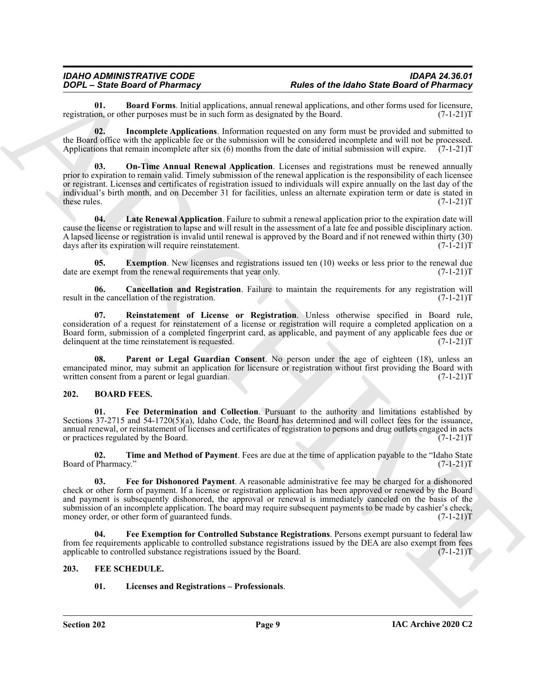## *IDAHO ADMINISTRATIVE CODE IDAPA 24.36.01*

<span id="page-8-9"></span>**01. Board Forms**. Initial applications, annual renewal applications, and other forms used for licensure, on, or other purposes must be in such form as designated by the Board. (7-1-21) registration, or other purposes must be in such form as designated by the Board.

<span id="page-8-14"></span><span id="page-8-12"></span>**02. Incomplete Applications**. Information requested on any form must be provided and submitted to the Board office with the applicable fee or the submission will be considered incomplete and will not be processed. Applications that remain incomplete after six (6) months from the date of initial submission will expire. (7-1-21)T

**70.04 State Based of Photonstale School and School and School and School and School and School and School and School and School and School and School and School and School and School and School and School and School and On-Time Annual Renewal Application**. Licenses and registrations must be renewed annually prior to expiration to remain valid. Timely submission of the renewal application is the responsibility of each licensee or registrant. Licenses and certificates of registration issued to individuals will expire annually on the last day of the individual's birth month, and on December 31 for facilities, unless an alternate expiration term or date is stated in these rules. (7-1-21)T

<span id="page-8-13"></span>**04. Late Renewal Application**. Failure to submit a renewal application prior to the expiration date will cause the license or registration to lapse and will result in the assessment of a late fee and possible disciplinary action. A lapsed license or registration is invalid until renewal is approved by the Board and if not renewed within thirty (30) days after its expiration will require reinstatement.

<span id="page-8-11"></span>**Exemption**. New licenses and registrations issued ten (10) weeks or less prior to the renewal due on the renewal requirements that year only. (7-1-21) date are exempt from the renewal requirements that year only.

<span id="page-8-10"></span>**06.** Cancellation and Registration. Failure to maintain the requirements for any registration will the cancellation of the registration.  $(7-1-21)T$ result in the cancellation of the registration.

<span id="page-8-16"></span>**07. Reinstatement of License or Registration**. Unless otherwise specified in Board rule, consideration of a request for reinstatement of a license or registration will require a completed application on a Board form, submission of a completed fingerprint card, as applicable, and payment of any applicable fees due or delinquent at the time reinstatement is requested. (7-1-21) delinquent at the time reinstatement is requested.

<span id="page-8-15"></span>Parent or Legal Guardian Consent. No person under the age of eighteen (18), unless an emancipated minor, may submit an application for licensure or registration without first providing the Board with written consent from a parent or legal guardian. (7-1-21) written consent from a parent or legal guardian.

#### <span id="page-8-2"></span><span id="page-8-0"></span>**202. BOARD FEES.**

<span id="page-8-3"></span>**01. Fee Determination and Collection**. Pursuant to the authority and limitations established by Sections 37-2715 and 54-1720(5)(a), Idaho Code, the Board has determined and will collect fees for the issuance, annual renewal, or reinstatement of licenses and certificates of registration to persons and drug outlets engaged in acts or practices regulated by the Board. (7-1-21)T

<span id="page-8-6"></span>**02. Time and Method of Payment**. Fees are due at the time of application payable to the "Idaho State Board of Pharmacy." (7-1-21) T

<span id="page-8-5"></span>**03. Fee for Dishonored Payment**. A reasonable administrative fee may be charged for a dishonored check or other form of payment. If a license or registration application has been approved or renewed by the Board and payment is subsequently dishonored, the approval or renewal is immediately canceled on the basis of the submission of an incomplete application. The board may require subsequent payments to be made by cashier's check, money order, or other form of guaranteed funds. (7-1-21)T

<span id="page-8-4"></span>**04. Fee Exemption for Controlled Substance Registrations**. Persons exempt pursuant to federal law from fee requirements applicable to controlled substance registrations issued by the DEA are also exempt from fees applicable to controlled substance registrations issued by the Board. (7-1-21)T

#### <span id="page-8-1"></span>**203. FEE SCHEDULE.**

#### <span id="page-8-8"></span><span id="page-8-7"></span>**01. Licenses and Registrations – Professionals**.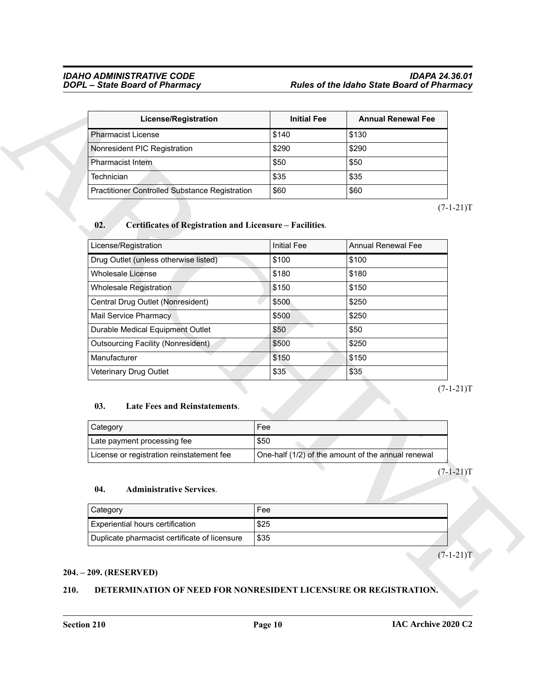#### *IDAHO ADMINISTRATIVE CODE IDAPA 24.36.01 DOPL – State Board of Pharmacy Rules of the Idaho State Board of Pharmacy*

| <b>License/Registration</b>                           | <b>Initial Fee</b> | <b>Annual Renewal Fee</b> |
|-------------------------------------------------------|--------------------|---------------------------|
| l Pharmacist License                                  | \$140              | \$130                     |
| Nonresident PIC Registration                          | \$290              | \$290                     |
| Pharmacist Intern                                     | \$50               | \$50                      |
| Technician                                            | \$35               | \$35                      |
| <b>Practitioner Controlled Substance Registration</b> | \$60               | \$60                      |

#### <span id="page-9-4"></span>**02. Certificates of Registration and Licensure – Facilities**.

| <b>License/Registration</b>                                     | <b>Initial Fee</b> | <b>Annual Renewal Fee</b>                          |
|-----------------------------------------------------------------|--------------------|----------------------------------------------------|
| <b>Pharmacist License</b>                                       | \$140              | \$130                                              |
| Nonresident PIC Registration                                    | \$290              | \$290                                              |
| Pharmacist Intern                                               | \$50               | \$50                                               |
| Technician                                                      | \$35               | \$35                                               |
| <b>Practitioner Controlled Substance Registration</b>           | \$60               | \$60                                               |
| 02.<br>Certificates of Registration and Licensure - Facilities. |                    |                                                    |
| License/Registration                                            | <b>Initial Fee</b> | <b>Annual Renewal Fee</b>                          |
| Drug Outlet (unless otherwise listed)                           | \$100              | \$100                                              |
| <b>Wholesale License</b>                                        | \$180              | \$180                                              |
| Wholesale Registration                                          | \$150              | \$150                                              |
| Central Drug Outlet (Nonresident)                               | \$500              | \$250                                              |
| <b>Mail Service Pharmacy</b>                                    | \$500              | \$250                                              |
| Durable Medical Equipment Outlet                                | \$50               | \$50                                               |
| <b>Outsourcing Facility (Nonresident)</b>                       | \$500              | \$250                                              |
| Manufacturer                                                    | \$150              | \$150                                              |
| Veterinary Drug Outlet                                          | \$35               | \$35                                               |
| 03.<br>Late Fees and Reinstatements.<br>Category                | Fee                |                                                    |
| Late payment processing fee                                     | \$50               |                                                    |
| License or registration reinstatement fee                       |                    | One-half (1/2) of the amount of the annual renewal |
| 04.<br><b>Administrative Services.</b>                          |                    |                                                    |
| Category                                                        | Fee                |                                                    |
| Experiential hours certification                                | \$25               |                                                    |
| Duplicate pharmacist certificate of licensure                   | \$35               |                                                    |
|                                                                 |                    |                                                    |

#### <span id="page-9-5"></span>**03. Late Fees and Reinstatements**.

| <b>Category</b>                           | Fee                                                |
|-------------------------------------------|----------------------------------------------------|
| Late payment processing fee               | \$50                                               |
| License or registration reinstatement fee | One-half (1/2) of the amount of the annual renewal |

#### <span id="page-9-3"></span>**04. Administrative Services**.

| Category                                      | Fee  |  |
|-----------------------------------------------|------|--|
| l Experiential hours certification            | \$25 |  |
| Duplicate pharmacist certificate of licensure | \$35 |  |

#### <span id="page-9-0"></span>**204. – 209. (RESERVED)**

#### <span id="page-9-2"></span><span id="page-9-1"></span>**210. DETERMINATION OF NEED FOR NONRESIDENT LICENSURE OR REGISTRATION.**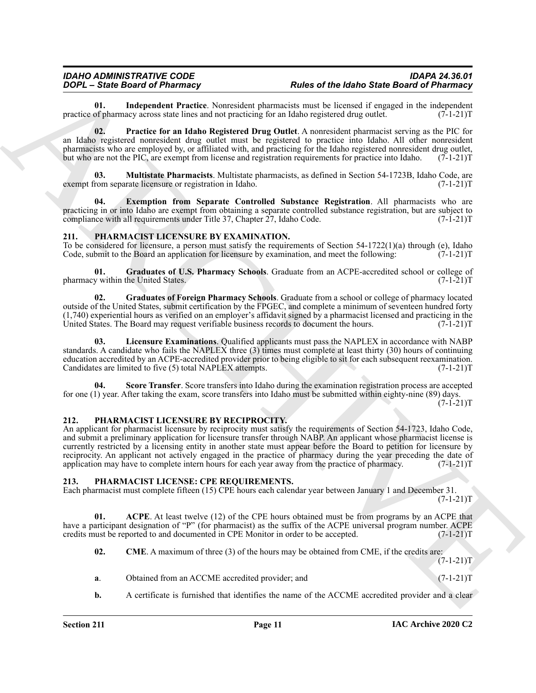#### *IDAHO ADMINISTRATIVE CODE IDAPA 24.36.01 DOPL – State Board of Pharmacy Rules of the Idaho State Board of Pharmacy*

<span id="page-10-4"></span>**01.** Independent Practice. Nonresident pharmacists must be licensed if engaged in the independent of pharmacy across state lines and not practicing for an Idaho registered drug outlet. (7-1-21) practice of pharmacy across state lines and not practicing for an Idaho registered drug outlet.

<span id="page-10-6"></span>**02. Practice for an Idaho Registered Drug Outlet**. A nonresident pharmacist serving as the PIC for an Idaho registered nonresident drug outlet must be registered to practice into Idaho. All other nonresident pharmacists who are employed by, or affiliated with, and practicing for the Idaho registered nonresident drug outlet, but who are not the PIC, are exempt from license and registration requirements for practice into Idaho.  $(7-1-21)$ T

<span id="page-10-5"></span>**03. Multistate Pharmacists**. Multistate pharmacists, as defined in Section 54-1723B, Idaho Code, are exempt from separate licensure or registration in Idaho. (7-1-21)T

<span id="page-10-3"></span>**Exemption from Separate Controlled Substance Registration**. All pharmacists who are practicing in or into Idaho are exempt from obtaining a separate controlled substance registration, but are subject to compliance with all requirements under Title 37, Chapter 27, Idaho Code. (7-1-21)T

#### <span id="page-10-10"></span><span id="page-10-0"></span>**211. PHARMACIST LICENSURE BY EXAMINATION.**

To be considered for licensure, a person must satisfy the requirements of Section 54-1722(1)(a) through (e), Idaho Code, submit to the Board an application for licensure by examination, and meet the following:  $(7-1-21)T$ Code, submit to the Board an application for licensure by examination, and meet the following:

<span id="page-10-12"></span>**01.** Graduates of U.S. Pharmacy Schools. Graduate from an ACPE-accredited school or college of within the United States. (7-1-21) pharmacy within the United States.

<span id="page-10-11"></span>**02. Graduates of Foreign Pharmacy Schools**. Graduate from a school or college of pharmacy located outside of the United States, submit certification by the FPGEC, and complete a minimum of seventeen hundred forty  $(1,740)$  experiential hours as verified on an employer's affidavit signed by a pharmacist licensed and practicing in the United States. The Board may request verifiable business records to document the hours.  $(7-1-21)$ T United States. The Board may request verifiable business records to document the hours.

<span id="page-10-13"></span>**03. Licensure Examinations**. Qualified applicants must pass the NAPLEX in accordance with NABP standards. A candidate who fails the NAPLEX three (3) times must complete at least thirty (30) hours of continuing education accredited by an ACPE-accredited provider prior to being eligible to sit for each subsequent reexamination. Candidates are limited to five (5) total NAPLEX attempts.

<span id="page-10-14"></span>**Score Transfer**. Score transfers into Idaho during the examination registration process are accepted for one (1) year. After taking the exam, score transfers into Idaho must be submitted within eighty-nine (89) days.  $(7-I-21)T$ 

#### <span id="page-10-15"></span><span id="page-10-1"></span>**212. PHARMACIST LICENSURE BY RECIPROCITY.**

**FOCK-Similar method of Photonstap Internal method and the base of Photonstap Internal method Similar method Similar method Similar method Similar method Similar method Similar method Similar method Similar method Similar** An applicant for pharmacist licensure by reciprocity must satisfy the requirements of Section 54-1723, Idaho Code, and submit a preliminary application for licensure transfer through NABP. An applicant whose pharmacist license is currently restricted by a licensing entity in another state must appear before the Board to petition for licensure by reciprocity. An applicant not actively engaged in the practice of pharmacy during the year preceding the date of application may have to complete intern hours for each year away from the practice of pharmacy. (7-1-21)T

#### <span id="page-10-7"></span><span id="page-10-2"></span>**213. PHARMACIST LICENSE: CPE REQUIREMENTS.**

Each pharmacist must complete fifteen (15) CPE hours each calendar year between January 1 and December 31.  $(7-1-21)T$ 

**01. ACPE**. At least twelve (12) of the CPE hours obtained must be from programs by an ACPE that have a participant designation of "P" (for pharmacist) as the suffix of the ACPE universal program number. ACPE credits must be reported to and documented in CPE Monitor in order to be accepted. (7-1-21)T credits must be reported to and documented in CPE Monitor in order to be accepted.

<span id="page-10-9"></span><span id="page-10-8"></span>**02. CME**. A maximum of three (3) of the hours may be obtained from CME, if the credits are:  $(7-1-21)T$ 

- **a**. Obtained from an ACCME accredited provider; and  $(7-1-21)$ T
- **b.** A certificate is furnished that identifies the name of the ACCME accredited provider and a clear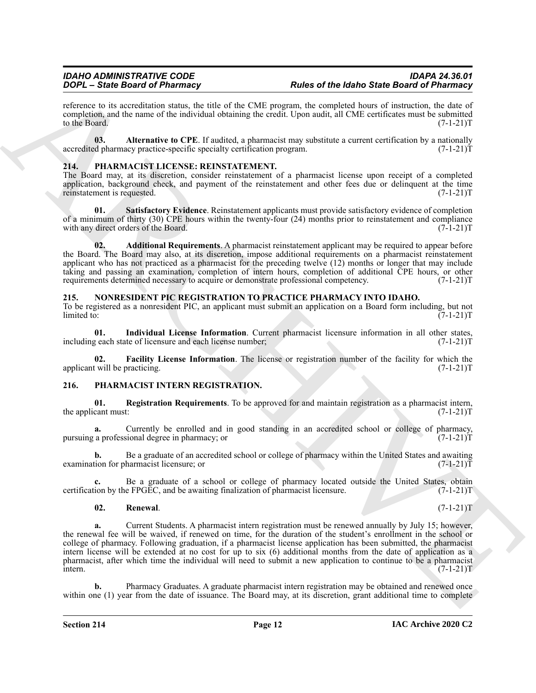reference to its accreditation status, the title of the CME program, the completed hours of instruction, the date of completion, and the name of the individual obtaining the credit. Upon audit, all CME certificates must be submitted to the Board. (7-1-21)T to the Board.  $(7-1-21)T$ 

<span id="page-11-9"></span>**03. Alternative to CPE**. If audited, a pharmacist may substitute a current certification by a nationally depharmacy practice-specific specialty certification program. (7-1-21) accredited pharmacy practice-specific specialty certification program.

#### <span id="page-11-10"></span><span id="page-11-0"></span>**214. PHARMACIST LICENSE: REINSTATEMENT.**

The Board may, at its discretion, consider reinstatement of a pharmacist license upon receipt of a completed application, background check, and payment of the reinstatement and other fees due or delinquent at the time reinstatement is requested. (7-1-21)T reinstatement is requested.

<span id="page-11-12"></span>**01. Satisfactory Evidence**. Reinstatement applicants must provide satisfactory evidence of completion of a minimum of thirty (30) CPE hours within the twenty-four (24) months prior to reinstatement and compliance with any direct orders of the Board. (7-1-21)T

<span id="page-11-11"></span>**02. Additional Requirements**. A pharmacist reinstatement applicant may be required to appear before the Board. The Board may also, at its discretion, impose additional requirements on a pharmacist reinstatement applicant who has not practiced as a pharmacist for the preceding twelve (12) months or longer that may include taking and passing an examination, completion of intern hours, completion of additional CPE hours, or other requirements determined necessary to acquire or demonstrate professional competency. (7-1-21)T requirements determined necessary to acquire or demonstrate professional competency.

#### <span id="page-11-3"></span><span id="page-11-1"></span>**215. NONRESIDENT PIC REGISTRATION TO PRACTICE PHARMACY INTO IDAHO.**

To be registered as a nonresident PIC, an applicant must submit an application on a Board form including, but not limited to: (7-1-21)T

<span id="page-11-5"></span>**01.** Individual License Information. Current pharmacist licensure information in all other states, geach state of licensure and each license number; (7-1-21) including each state of licensure and each license number;

<span id="page-11-4"></span>**02. Facility License Information**. The license or registration number of the facility for which the twill be practicing. (7-1-21)T applicant will be practicing.

#### <span id="page-11-6"></span><span id="page-11-2"></span>**216. PHARMACIST INTERN REGISTRATION.**

<span id="page-11-7"></span>**01. Registration Requirements**. To be approved for and maintain registration as a pharmacist intern, the applicant must:

**a.** Currently be enrolled and in good standing in an accredited school or college of pharmacy, a professional degree in pharmacy; or pursuing a professional degree in pharmacy; or

**b.** Be a graduate of an accredited school or college of pharmacy within the United States and awaiting ion for pharmacist licensure; or examination for pharmacist licensure; or

**c.** Be a graduate of a school or college of pharmacy located outside the United States, obtain ion by the FPGEC, and be awaiting finalization of pharmacist licensure. (7-1-21)T certification by the FPGEC, and be awaiting finalization of pharmacist licensure.

#### <span id="page-11-8"></span>**02. Renewal**. (7-1-21)T

**Total Base Base of of Photonson, Value Control Base of the Math State Base of Photonson, and the Math State Base of Photonson, and the Math State Base of Photonson, and the Math State Base of the Math State Base of the M a.** Current Students. A pharmacist intern registration must be renewed annually by July 15; however, the renewal fee will be waived, if renewed on time, for the duration of the student's enrollment in the school or college of pharmacy. Following graduation, if a pharmacist license application has been submitted, the pharmacist intern license will be extended at no cost for up to six (6) additional months from the date of application as a pharmacist, after which time the individual will need to submit a new application to continue to be a pharmacist  $i$  intern.  $(7-1-21)$ T

Pharmacy Graduates. A graduate pharmacist intern registration may be obtained and renewed once within one (1) year from the date of issuance. The Board may, at its discretion, grant additional time to complete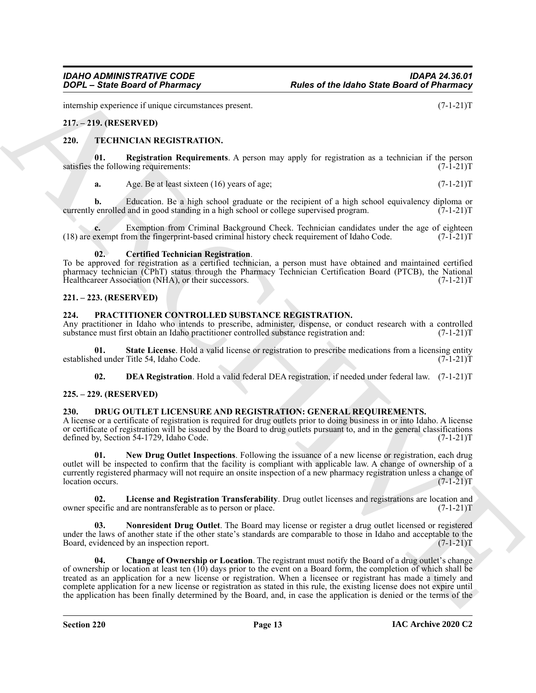internship experience if unique circumstances present. (7-1-21)T

#### <span id="page-12-0"></span>**217. – 219. (RESERVED)**

#### <span id="page-12-15"></span><span id="page-12-1"></span>**220. TECHNICIAN REGISTRATION.**

**01. Registration Requirements**. A person may apply for registration as a technician if the person satisfies the following requirements:

<span id="page-12-16"></span>**a.** Age. Be at least sixteen (16) years of age;  $(7-1-21)$ T

**b.** Education. Be a high school graduate or the recipient of a high school equivalency diploma or enrolled and in good standing in a high school or college supervised program. (7-1-21) currently enrolled and in good standing in a high school or college supervised program.

**c.** Exemption from Criminal Background Check. Technician candidates under the age of eighteen exempt from the fingerprint-based criminal history check requirement of Idaho Code. (7-1-21) (18) are exempt from the fingerprint-based criminal history check requirement of Idaho Code. (7-1-21)T

#### <span id="page-12-14"></span>**02. Certified Technician Registration**.

To be approved for registration as a certified technician, a person must have obtained and maintained certified pharmacy technician (CPhT) status through the Pharmacy Technician Certification Board (PTCB), the National Healthcareer Association (NHA), or their successors. (7-1-21) Healthcareer Association (NHA), or their successors.

#### <span id="page-12-2"></span>**221. – 223. (RESERVED)**

#### <span id="page-12-11"></span><span id="page-12-3"></span>**224. PRACTITIONER CONTROLLED SUBSTANCE REGISTRATION.**

Any practitioner in Idaho who intends to prescribe, administer, dispense, or conduct research with a controlled substance must first obtain an Idaho practitioner controlled substance registration and:  $(7-1-21)$ T substance must first obtain an Idaho practitioner controlled substance registration and:

**State License**. Hold a valid license or registration to prescribe medications from a licensing entity Title 54, Idaho Code. (7-1-21)T established under Title 54, Idaho Code.

<span id="page-12-13"></span><span id="page-12-12"></span><span id="page-12-6"></span>**02. DEA Registration**. Hold a valid federal DEA registration, if needed under federal law. (7-1-21)T

#### <span id="page-12-4"></span>**225. – 229. (RESERVED)**

#### <span id="page-12-5"></span>**230. DRUG OUTLET LICENSURE AND REGISTRATION: GENERAL REQUIREMENTS.**

A license or a certificate of registration is required for drug outlets prior to doing business in or into Idaho. A license or certificate of registration will be issued by the Board to drug outlets pursuant to, and in the general classifications defined by, Section 54-1729, Idaho Code. (7-1-21)T

<span id="page-12-9"></span>**01. New Drug Outlet Inspections**. Following the issuance of a new license or registration, each drug outlet will be inspected to confirm that the facility is compliant with applicable law. A change of ownership of a currently registered pharmacy will not require an onsite inspection of a new pharmacy registration unless a change of location occurs.<br>(7-1-21)T location occurs.

<span id="page-12-8"></span>**02.** License and Registration Transferability. Drug outlet licenses and registrations are location and electic and are nontransferable as to person or place. (7-1-21) owner specific and are nontransferable as to person or place.

<span id="page-12-10"></span><span id="page-12-7"></span>**03. Nonresident Drug Outlet**. The Board may license or register a drug outlet licensed or registered under the laws of another state if the other state's standards are comparable to those in Idaho and acceptable to the Board, evidenced by an inspection report. (7-1-21) Board, evidenced by an inspection report.

**EXACT State Grand of Photomasy**<br>
The state of the state of Photomasy<br>
The state Grand of Photomasy<br>
The state (state State Control of the state Control of the state Control of the State Control of the State Control of th **04. Change of Ownership or Location**. The registrant must notify the Board of a drug outlet's change of ownership or location at least ten (10) days prior to the event on a Board form, the completion of which shall be treated as an application for a new license or registration. When a licensee or registrant has made a timely and complete application for a new license or registration as stated in this rule, the existing license does not expire until the application has been finally determined by the Board, and, in case the application is denied or the terms of the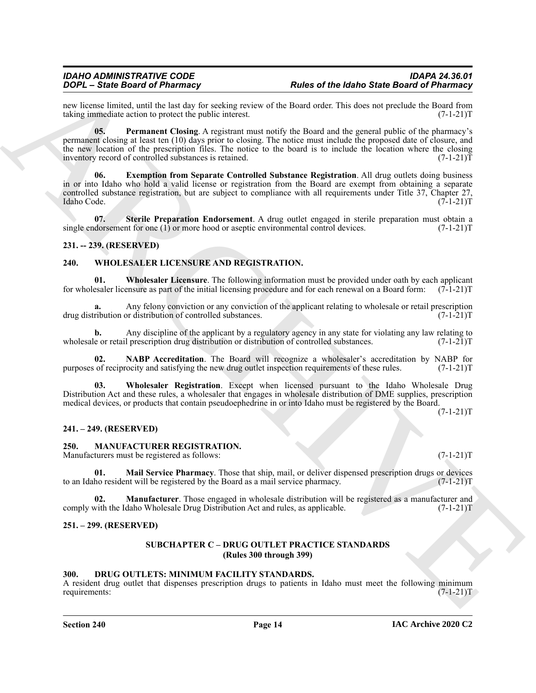new license limited, until the last day for seeking review of the Board order. This does not preclude the Board from taking immediate action to protect the public interest. (7-1-21) taking immediate action to protect the public interest.

<span id="page-13-8"></span><span id="page-13-7"></span>**05. Permanent Closing**. A registrant must notify the Board and the general public of the pharmacy's permanent closing at least ten (10) days prior to closing. The notice must include the proposed date of closure, and the new location of the prescription files. The notice to the board is to include the location where the closing inventory record of controlled substances is retained. (7-1-21) inventory record of controlled substances is retained.

**FOCA – State Based of Photonstate and Chains are consistent and the based of Photonstate Chains (Note 2011)**<br>
And the state in the state in the state in the state in the state of the state of Photonstate Chains (Note 201 **06. Exemption from Separate Controlled Substance Registration**. All drug outlets doing business in or into Idaho who hold a valid license or registration from the Board are exempt from obtaining a separate controlled substance registration, but are subject to compliance with all requirements under Title 37, Chapter 27, Idaho Code. (7-1-21)T Idaho Code. (7-1-21)T

<span id="page-13-9"></span>**07. Sterile Preparation Endorsement**. A drug outlet engaged in sterile preparation must obtain a single endorsement for one (1) or more hood or aseptic environmental control devices.  $(7-1-21)$ T

#### <span id="page-13-0"></span>**231. -- 239. (RESERVED)**

#### <span id="page-13-14"></span><span id="page-13-1"></span>**240. WHOLESALER LICENSURE AND REGISTRATION.**

<span id="page-13-16"></span>**01. Wholesaler Licensure**. The following information must be provided under oath by each applicant for wholesaler licensure as part of the initial licensing procedure and for each renewal on a Board form:  $(7-1-21)$ T

**a.** Any felony conviction or any conviction of the applicant relating to wholesale or retail prescription drug distribution or distribution of controlled substances. (7-1-21)T

**b.** Any discipline of the applicant by a regulatory agency in any state for violating any law relating to e or retail prescription drug distribution or distribution of controlled substances. (7-1-21)T wholesale or retail prescription drug distribution or distribution of controlled substances.

<span id="page-13-15"></span>**02. NABP Accreditation**. The Board will recognize a wholesaler's accreditation by NABP for of reciprocity and satisfying the new drug outlet inspection requirements of these rules. (7-1-21) purposes of reciprocity and satisfying the new drug outlet inspection requirements of these rules.

<span id="page-13-17"></span>**03. Wholesaler Registration**. Except when licensed pursuant to the Idaho Wholesale Drug Distribution Act and these rules, a wholesaler that engages in wholesale distribution of DME supplies, prescription medical devices, or products that contain pseudoephedrine in or into Idaho must be registered by the Board.

 $(7-1-21)T$ 

#### <span id="page-13-2"></span>**241. – 249. (RESERVED)**

#### <span id="page-13-11"></span><span id="page-13-3"></span>**250. MANUFACTURER REGISTRATION.**

Manufacturers must be registered as follows: (7-1-21)T

<span id="page-13-12"></span>**01. Mail Service Pharmacy**. Those that ship, mail, or deliver dispensed prescription drugs or devices ho resident will be registered by the Board as a mail service pharmacy. (7-1-21) to an Idaho resident will be registered by the Board as a mail service pharmacy.

**02. Manufacturer**. Those engaged in wholesale distribution will be registered as a manufacturer and with the Idaho Wholesale Drug Distribution Act and rules, as applicable. (7-1-21) comply with the Idaho Wholesale Drug Distribution Act and rules, as applicable.

#### <span id="page-13-5"></span><span id="page-13-4"></span>**251. – 299. (RESERVED)**

#### <span id="page-13-13"></span>**SUBCHAPTER C – DRUG OUTLET PRACTICE STANDARDS (Rules 300 through 399)**

#### <span id="page-13-10"></span><span id="page-13-6"></span>**300. DRUG OUTLETS: MINIMUM FACILITY STANDARDS.**

A resident drug outlet that dispenses prescription drugs to patients in Idaho must meet the following minimum requirements:<br>(7-1-21)T requirements: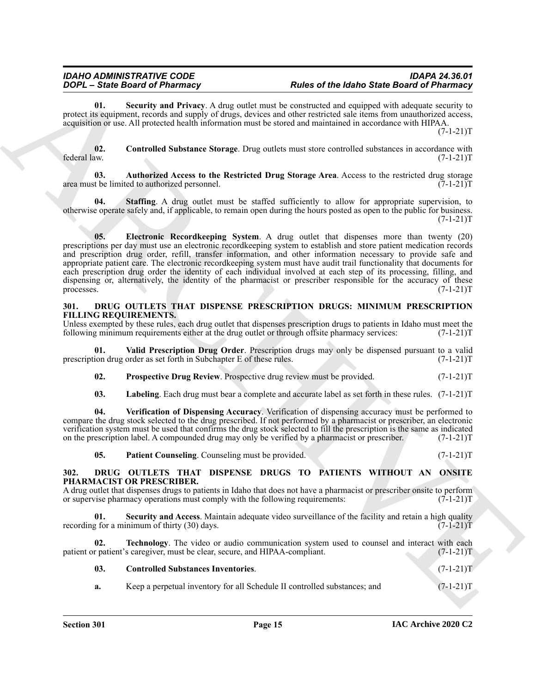<span id="page-14-5"></span>**01. Security and Privacy**. A drug outlet must be constructed and equipped with adequate security to protect its equipment, records and supply of drugs, devices and other restricted sale items from unauthorized access, acquisition or use. All protected health information must be stored and maintained in accordance with HIPAA.  $(7-1-21)T$ 

<span id="page-14-3"></span>**02.** Controlled Substance Storage. Drug outlets must store controlled substances in accordance with federal law.  $(7-1-21)T$ federal law. (7-1-21)T

<span id="page-14-2"></span>**03. Authorized Access to the Restricted Drug Storage Area**. Access to the restricted drug storage area must be limited to authorized personnel. (7-1-21)T

<span id="page-14-6"></span><span id="page-14-4"></span>**04. Staffing**. A drug outlet must be staffed sufficiently to allow for appropriate supervision, to otherwise operate safely and, if applicable, to remain open during the hours posted as open to the public for business.  $(7-1-21)T$ 

**EQUENTION CONTINUOUS CONTINUOUS CONTINUOUS CONTINUOUS CONTINUOUS CONTINUOUS CONTINUOUS CONTINUOUS CONTINUOUS CONTINUOUS CONTINUOUS CONTINUOUS CONTINUOUS CONTINUOUS CONTINUOUS CONTINUOUS CO 05. Electronic Recordkeeping System**. A drug outlet that dispenses more than twenty (20) prescriptions per day must use an electronic recordkeeping system to establish and store patient medication records and prescription drug order, refill, transfer information, and other information necessary to provide safe and appropriate patient care. The electronic recordkeeping system must have audit trail functionality that documents for each prescription drug order the identity of each individual involved at each step of its processing, filling, and dispensing or, alternatively, the identity of the pharmacist or prescriber responsible for the accuracy of these processes. (7-1-21)T processes. (7-1-21)T

#### <span id="page-14-11"></span><span id="page-14-0"></span>**301. DRUG OUTLETS THAT DISPENSE PRESCRIPTION DRUGS: MINIMUM PRESCRIPTION FILLING REQUIREMENTS.**

Unless exempted by these rules, each drug outlet that dispenses prescription drugs to patients in Idaho must meet the following minimum requirements either at the drug outlet or through offsite pharmacy services:  $(7-1-21)$ following minimum requirements either at the drug outlet or through offsite pharmacy services:

**Valid Prescription Drug Order**. Prescription drugs may only be dispensed pursuant to a valid order as set forth in Subchapter E of these rules. (7-1-21) prescription drug order as set forth in Subchapter E of these rules.

<span id="page-14-15"></span><span id="page-14-14"></span>**02.** Prospective Drug Review. Prospective drug review must be provided.  $(7-1-21)T$ 

<span id="page-14-16"></span><span id="page-14-12"></span>**03.** Labeling. Each drug must bear a complete and accurate label as set forth in these rules.  $(7-1-21)$ T

**04. Verification of Dispensing Accuracy**. Verification of dispensing accuracy must be performed to compare the drug stock selected to the drug prescribed. If not performed by a pharmacist or prescriber, an electronic verification system must be used that confirms the drug stock selected to fill the prescription is the same as indicated on the prescription label. A compounded drug may only be verified by a pharmacist or prescriber. (7-1-21)T

<span id="page-14-13"></span><span id="page-14-9"></span><span id="page-14-7"></span>**05.** Patient Counseling. Counseling must be provided. (7-1-21)T

#### <span id="page-14-1"></span>**302. DRUG OUTLETS THAT DISPENSE DRUGS TO PATIENTS WITHOUT AN ONSITE PHARMACIST OR PRESCRIBER.**

A drug outlet that dispenses drugs to patients in Idaho that does not have a pharmacist or prescriber onsite to perform or supervise pharmacy operations must comply with the following requirements: (7-1-21) or supervise pharmacy operations must comply with the following requirements:

**Security and Access**. Maintain adequate video surveillance of the facility and retain a high quality inimum of thirty (30) days. recording for a minimum of thirty  $(30)$  days.

**02. Technology**. The video or audio communication system used to counsel and interact with each patient or patient's caregiver, must be clear, secure, and HIPAA-compliant. (7-1-21)

<span id="page-14-10"></span><span id="page-14-8"></span>

| 03. | <b>Controlled Substances Inventories.</b>                                 | $(7-1-21)T$ |
|-----|---------------------------------------------------------------------------|-------------|
| а.  | Keep a perpetual inventory for all Schedule II controlled substances; and | $(7-1-21)T$ |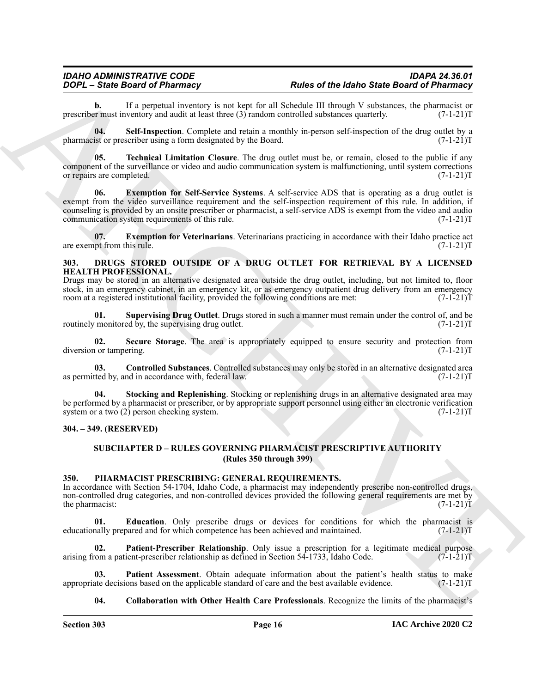**b.** If a perpetual inventory is not kept for all Schedule III through V substances, the pharmacist or r must inventory and audit at least three (3) random controlled substances quarterly. (7-1-21) prescriber must inventory and audit at least three  $(3)$  random controlled substances quarterly.

<span id="page-15-6"></span>**04. Self-Inspection**. Complete and retain a monthly in-person self-inspection of the drug outlet by a pharmacist or prescriber using a form designated by the Board. (7-1-21)T

<span id="page-15-4"></span>**05. Technical Limitation Closure**. The drug outlet must be, or remain, closed to the public if any component of the surveillance or video and audio communication system is malfunctioning, until system corrections or repairs are completed. (7-1-21)T

**2004.** Since Board of Photomasty<br>
2004. Since Board of Photomasty and Level Schedule Hill showed Schedule and Schedule and Schedule and The Context Schedule and the Context Schedule and the Context Schedule and the Conte **06. Exemption for Self-Service Systems**. A self-service ADS that is operating as a drug outlet is exempt from the video surveillance requirement and the self-inspection requirement of this rule. In addition, if counseling is provided by an onsite prescriber or pharmacist, a self-service ADS is exempt from the video and audio communication system requirements of this rule. (7-1-21)T

<span id="page-15-5"></span>**07. Exemption for Veterinarians**. Veterinarians practicing in accordance with their Idaho practice act upt from this rule. (7-1-21)T are exempt from this rule.

#### <span id="page-15-7"></span><span id="page-15-0"></span>**303. DRUGS STORED OUTSIDE OF A DRUG OUTLET FOR RETRIEVAL BY A LICENSED HEALTH PROFESSIONAL.**

Drugs may be stored in an alternative designated area outside the drug outlet, including, but not limited to, floor stock, in an emergency cabinet, in an emergency kit, or as emergency outpatient drug delivery from an emergency<br>room at a registered institutional facility, provided the following conditions are met: (7-1-21) room at a registered institutional facility, provided the following conditions are met:

<span id="page-15-11"></span>**01. Supervising Drug Outlet**. Drugs stored in such a manner must remain under the control of, and be routinely monitored by, the supervising drug outlet.

<span id="page-15-9"></span>**02.** Secure Storage. The area is appropriately equipped to ensure security and protection from 1 or tampering. (7-1-21) diversion or tampering.

<span id="page-15-8"></span>**03.** Controlled Substances. Controlled substances may only be stored in an alternative designated area (ted by, and in accordance with, federal law. (7-1-21) as permitted by, and in accordance with, federal law.

<span id="page-15-10"></span>**04. Stocking and Replenishing**. Stocking or replenishing drugs in an alternative designated area may be performed by a pharmacist or prescriber, or by appropriate support personnel using either an electronic verification system or a two (2) person checking system. system or a two  $(2)$  person checking system.

#### <span id="page-15-2"></span><span id="page-15-1"></span>**304. – 349. (RESERVED)**

#### <span id="page-15-12"></span>**SUBCHAPTER D – RULES GOVERNING PHARMACIST PRESCRIPTIVE AUTHORITY (Rules 350 through 399)**

#### <span id="page-15-3"></span>**350. PHARMACIST PRESCRIBING: GENERAL REQUIREMENTS.**

In accordance with Section 54-1704, Idaho Code, a pharmacist may independently prescribe non-controlled drugs, non-controlled drug categories, and non-controlled devices provided the following general requirements are met by<br>the pharmacist: (7-1-21)T the pharmacist:

<span id="page-15-14"></span>**01. Education**. Only prescribe drugs or devices for conditions for which the pharmacist is educationally prepared and for which competence has been achieved and maintained. (7-1-21)T

<span id="page-15-16"></span>**02.** Patient-Prescriber Relationship. Only issue a prescription for a legitimate medical purpose om a patient-prescriber relationship as defined in Section 54-1733, Idaho Code. (7-1-21)T arising from a patient-prescriber relationship as defined in Section 54-1733, Idaho Code.

**03. Patient Assessment**. Obtain adequate information about the patient's health status to make appropriate decisions based on the applicable standard of care and the best available evidence. (7-1-21)T

<span id="page-15-15"></span><span id="page-15-13"></span>**04. Collaboration with Other Health Care Professionals**. Recognize the limits of the pharmacist's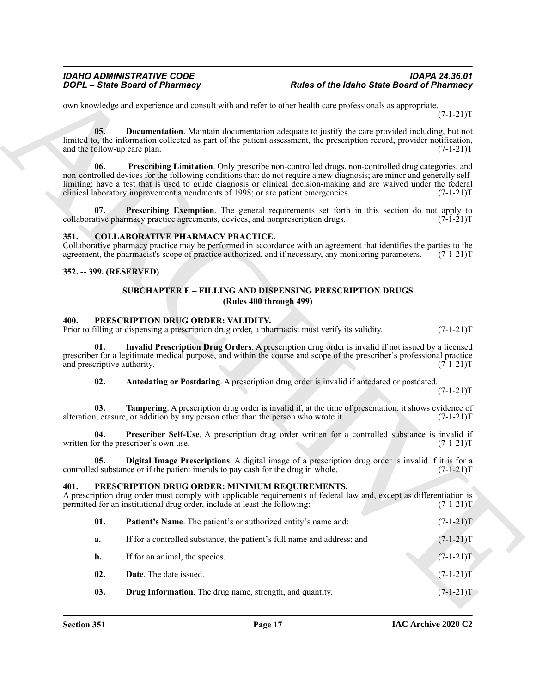own knowledge and experience and consult with and refer to other health care professionals as appropriate.  $(7-1-21)T$ 

<span id="page-16-8"></span><span id="page-16-6"></span>**05. Documentation**. Maintain documentation adequate to justify the care provided including, but not limited to, the information collected as part of the patient assessment, the prescription record, provider notification, and the follow-up care plan. (7-1-21) and the follow-up care plan.

**EVALUATION CONSULTER CONTINUES** (**EVALUATION EXACTLABETION CONTINUES CONTINUES CONTINUES CONTINUES CONTINUES CONTINUES CONTINUES CONTINUES CONTINUES CONTINUES CONTINUES CONTINUES CONTINUES 06. Prescribing Limitation**. Only prescribe non-controlled drugs, non-controlled drug categories, and non-controlled devices for the following conditions that: do not require a new diagnosis; are minor and generally selflimiting; have a test that is used to guide diagnosis or clinical decision-making and are waived under the federal clinical laboratory improvement amendments of 1998; or are patient emergencies. (7-1-21)T clinical laboratory improvement amendments of 1998; or are patient emergencies.

<span id="page-16-7"></span>**07. Prescribing Exemption**. The general requirements set forth in this section do not apply to thive pharmacy practice agreements, devices, and nonprescription drugs. (7-1-21) collaborative pharmacy practice agreements, devices, and nonprescription drugs.

#### <span id="page-16-5"></span><span id="page-16-0"></span>**351. COLLABORATIVE PHARMACY PRACTICE.**

Collaborative pharmacy practice may be performed in accordance with an agreement that identifies the parties to the agreement, the pharmacist's scope of practice authorized, and if necessary, any monitoring parameters. (7agreement, the pharmacist's scope of practice authorized, and if necessary, any monitoring parameters.

<span id="page-16-2"></span><span id="page-16-1"></span>**352. -- 399. (RESERVED)**

#### <span id="page-16-16"></span>**SUBCHAPTER E – FILLING AND DISPENSING PRESCRIPTION DRUGS (Rules 400 through 499)**

#### <span id="page-16-13"></span><span id="page-16-3"></span>**400. PRESCRIPTION DRUG ORDER: VALIDITY.**

Prior to filling or dispensing a prescription drug order, a pharmacist must verify its validity. (7-1-21) T

**01. Invalid Prescription Drug Orders**. A prescription drug order is invalid if not issued by a licensed prescriber for a legitimate medical purpose, and within the course and scope of the prescriber's professional practice and prescriptive authority. (7-1-21)T and prescriptive authority.

<span id="page-16-18"></span><span id="page-16-17"></span><span id="page-16-14"></span>**02.** Antedating or Postdating. A prescription drug order is invalid if antedated or postdated.

 $(7-1-21)T$ 

**03. Tampering**. A prescription drug order is invalid if, at the time of presentation, it shows evidence of n, erasure, or addition by any person other than the person who wrote it. (7-1-21) alteration, erasure, or addition by any person other than the person who wrote it.

**04. Prescriber Self-Use**. A prescription drug order written for a controlled substance is invalid if or the prescriber's own use. (7-1-21) written for the prescriber's own use.

<span id="page-16-15"></span>**05. Digital Image Prescriptions**. A digital image of a prescription drug order is invalid if it is for a d substance or if the patient intends to pay cash for the drug in whole. (7-1-21) controlled substance or if the patient intends to pay cash for the drug in whole.

#### <span id="page-16-9"></span><span id="page-16-4"></span>**401. PRESCRIPTION DRUG ORDER: MINIMUM REQUIREMENTS.**

A prescription drug order must comply with applicable requirements of federal law and, except as differentiation is permitted for an institutional drug order, include at least the following:  $(7-1-21)$ permitted for an institutional drug order, include at least the following:

<span id="page-16-12"></span>

| - 01. | <b>Patient's Name.</b> The patient's or authorized entity's name and: | $(7-1-21)T$ |
|-------|-----------------------------------------------------------------------|-------------|
|       |                                                                       |             |

- **a.** If for a controlled substance, the patient's full name and address; and  $(7-1-21)$ T
- <span id="page-16-10"></span>**b.** If for an animal, the species.  $(7-1-21)T$
- **02. Date**. The date issued. (7-1-21)T
- <span id="page-16-11"></span>**03. Drug Information**. The drug name, strength, and quantity.  $(7-1-21)T$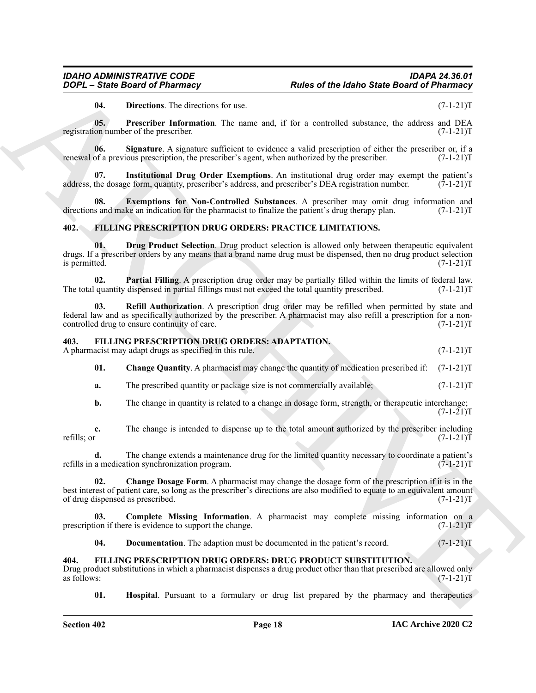<span id="page-17-18"></span><span id="page-17-17"></span><span id="page-17-14"></span>**04.** Directions. The directions for use. (7-1-21)T

**05. Prescriber Information**. The name and, if for a controlled substance, the address and DEA on number of the prescriber. (7-1-21) registration number of the prescriber.

**06.** Signature. A signature sufficient to evidence a valid prescription of either the prescriber or, if a of a previous prescription, the prescriber's agent, when authorized by the prescriber. (7-1-21) renewal of a previous prescription, the prescriber's agent, when authorized by the prescriber.

<span id="page-17-16"></span>**07.** Institutional Drug Order Exemptions. An institutional drug order may exempt the patient's the dosage form, quantity, prescriber's address, and prescriber's DEA registration number. (7-1-21)T address, the dosage form, quantity, prescriber's address, and prescriber's DEA registration number.

<span id="page-17-15"></span>**08. Exemptions for Non-Controlled Substances**. A prescriber may omit drug information and s and make an indication for the pharmacist to finalize the patient's drug therapy plan. (7-1-21) directions and make an indication for the pharmacist to finalize the patient's drug therapy plan.

#### <span id="page-17-10"></span><span id="page-17-0"></span>**402. FILLING PRESCRIPTION DRUG ORDERS: PRACTICE LIMITATIONS.**

<span id="page-17-11"></span>**01. Drug Product Selection**. Drug product selection is allowed only between therapeutic equivalent drugs. If a prescriber orders by any means that a brand name drug must be dispensed, then no drug product selection is permitted. (7-1-21)T

<span id="page-17-12"></span>**02. Partial Filling**. A prescription drug order may be partially filled within the limits of federal law. quantity dispensed in partial fillings must not exceed the total quantity prescribed. (7-1-21)T The total quantity dispensed in partial fillings must not exceed the total quantity prescribed.

<span id="page-17-13"></span>**03. Refill Authorization**. A prescription drug order may be refilled when permitted by state and federal law and as specifically authorized by the prescriber. A pharmacist may also refill a prescription for a noncontrolled drug to ensure continuity of care.

#### <span id="page-17-3"></span><span id="page-17-1"></span>**403. FILLING PRESCRIPTION DRUG ORDERS: ADAPTATION.**

A pharmacist may adapt drugs as specified in this rule. (7-1-21) T

<span id="page-17-5"></span>**01. Change Quantity**. A pharmacist may change the quantity of medication prescribed if: (7-1-21)T

- **a.** The prescribed quantity or package size is not commercially available;  $(7-1-21)$ T
- **b.** The change in quantity is related to a change in dosage form, strength, or therapeutic interchange;  $(7-1-21)T$

**c.** The change is intended to dispense up to the total amount authorized by the prescriber including refills; or  $(7-1-21)$ T refills; or  $(7-1-21)T$ 

<span id="page-17-4"></span>**d.** The change extends a maintenance drug for the limited quantity necessary to coordinate a patient's a medication synchronization program.  $(7-1-21)$ T refills in a medication synchronization program.

**EQUE 3 EXERCIBENT The University of Properties of the blanks State Board's Phinamaton<br>
16. December Theorem Internation The nearest of the accomplete stresson of changes and the stress of the stress of the stress of the 02. Change Dosage Form**. A pharmacist may change the dosage form of the prescription if it is in the best interest of patient care, so long as the prescriber's directions are also modified to equate to an equivalent amount of drug dispensed as prescribed. (7-1-21) of drug dispensed as prescribed.

**Complete Missing Information**. A pharmacist may complete missing information on a prescription if there is evidence to support the change. (7-1-21)T

<span id="page-17-8"></span><span id="page-17-7"></span><span id="page-17-6"></span>**04.** Documentation. The adaption must be documented in the patient's record.  $(7-1-21)T$ 

#### <span id="page-17-2"></span>**404. FILLING PRESCRIPTION DRUG ORDERS: DRUG PRODUCT SUBSTITUTION.**

Drug product substitutions in which a pharmacist dispenses a drug product other than that prescribed are allowed only as follows:  $(7-1-21)T$ 

<span id="page-17-9"></span>**01. Hospital**. Pursuant to a formulary or drug list prepared by the pharmacy and therapeutics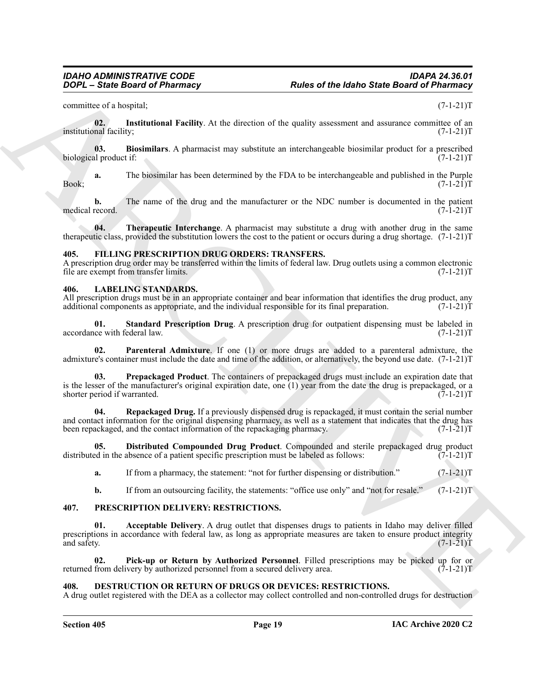committee of a hospital; (7-1-21)T

<span id="page-18-6"></span>**02.** Institutional Facility. At the direction of the quality assessment and assurance committee of an nal facility:  $(7-1-21)T$ institutional facility;

<span id="page-18-5"></span>**03.** Biosimilars. A pharmacist may substitute an interchangeable biosimilar product for a prescribed al product if: biological product if:

**a.** The biosimilar has been determined by the FDA to be interchangeable and published in the Purple  $(7-1-21)T$ Book; (7-1-21)T

**b.** The name of the drug and the manufacturer or the NDC number is documented in the patient record.  $(7-1-21)T$ medical record.

<span id="page-18-7"></span>**04. Therapeutic Interchange**. A pharmacist may substitute a drug with another drug in the same therapeutic class, provided the substitution lowers the cost to the patient or occurs during a drug shortage. (7-1-21)T

#### <span id="page-18-8"></span><span id="page-18-0"></span>**405. FILLING PRESCRIPTION DRUG ORDERS: TRANSFERS.**

A prescription drug order may be transferred within the limits of federal law. Drug outlets using a common electronic file are exempt from transfer limits.

#### <span id="page-18-9"></span><span id="page-18-1"></span>**406. LABELING STANDARDS.**

All prescription drugs must be in an appropriate container and bear information that identifies the drug product, any additional components as appropriate, and the individual responsible for its final preparation.  $(7-1-2$ additional components as appropriate, and the individual responsible for its final preparation.

<span id="page-18-14"></span>**01.** Standard Prescription Drug. A prescription drug for outpatient dispensing must be labeled in ce with federal law. (7-1-21)T accordance with federal law.

<span id="page-18-11"></span>**02. Parenteral Admixture**. If one (1) or more drugs are added to a parenteral admixture, the admixture's container must include the date and time of the addition, or alternatively, the beyond use date. (7-1-21)T

<span id="page-18-12"></span>**03. Prepackaged Product**. The containers of prepackaged drugs must include an expiration date that is the lesser of the manufacturer's original expiration date, one (1) year from the date the drug is prepackaged, or a shorter period if warranted.  $(7-1-21)T$ shorter period if warranted.

<span id="page-18-13"></span>**04. Repackaged Drug.** If a previously dispensed drug is repackaged, it must contain the serial number and contact information for the original dispensing pharmacy, as well as a statement that indicates that the drug has been repackaged, and the contact information of the repackaging pharmacy. (7-1-21)T

**05. Distributed Compounded Drug Product**. Compounded and sterile prepackaged drug product bed in the absence of a patient specific prescription must be labeled as follows: (7-1-21) distributed in the absence of a patient specific prescription must be labeled as follows:

<span id="page-18-10"></span>**a.** If from a pharmacy, the statement: "not for further dispensing or distribution." (7-1-21)T

<span id="page-18-16"></span><span id="page-18-15"></span>**b.** If from an outsourcing facility, the statements: "office use only" and "not for resale." (7-1-21)T

#### <span id="page-18-2"></span>**407. PRESCRIPTION DELIVERY: RESTRICTIONS.**

**EXAMPLE 2018** the spherical control of the property and the spherical control of the spherical control of the spherical control of the spherical control of the spherical control of the spherical control of the spherical **01. Acceptable Delivery**. A drug outlet that dispenses drugs to patients in Idaho may deliver filled prescriptions in accordance with federal law, as long as appropriate measures are taken to ensure product integrity and safety.  $(7-1-21)$ T and safety. (7-1-21)T

<span id="page-18-17"></span>**02. Pick-up or Return by Authorized Personnel**. Filled prescriptions may be picked up for or from delivery by authorized personnel from a secured delivery area. (7-1-21) returned from delivery by authorized personnel from a secured delivery area.

#### <span id="page-18-4"></span><span id="page-18-3"></span>**408. DESTRUCTION OR RETURN OF DRUGS OR DEVICES: RESTRICTIONS.**

A drug outlet registered with the DEA as a collector may collect controlled and non-controlled drugs for destruction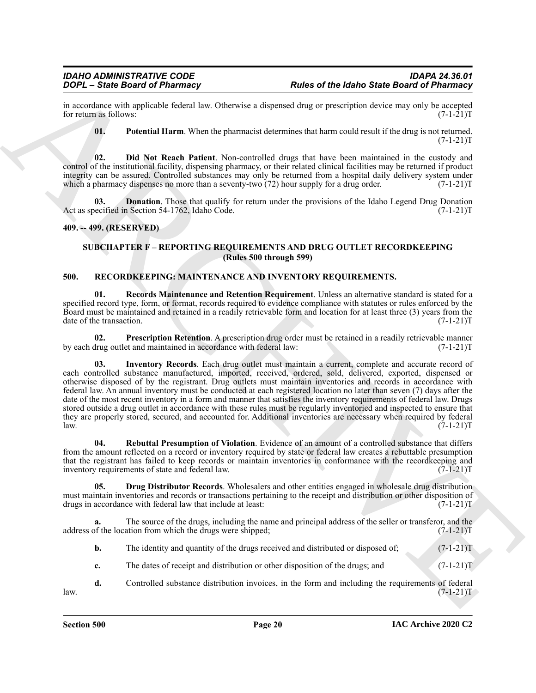in accordance with applicable federal law. Otherwise a dispensed drug or prescription device may only be accepted<br>for return as follows: (7-1-21)T for return as follows:

<span id="page-19-5"></span><span id="page-19-3"></span>**01. Potential Harm**. When the pharmacist determines that harm could result if the drug is not returned.  $(7-1-21)T$ 

**02. Did Not Reach Patient**. Non-controlled drugs that have been maintained in the custody and control of the institutional facility, dispensing pharmacy, or their related clinical facilities may be returned if product integrity can be assured. Controlled substances may only be returned from a hospital daily delivery system under which a pharmacy dispenses no more than a seventy-two  $(72)$  hour supply for a drug order.  $(7-1-21)$ T

<span id="page-19-4"></span>**Donation**. Those that qualify for return under the provisions of the Idaho Legend Drug Donation 1 Section 54-1762, Idaho Code. (7-1-21) Act as specified in Section 54-1762, Idaho Code.

#### <span id="page-19-1"></span><span id="page-19-0"></span>**409. -- 499. (RESERVED)**

#### <span id="page-19-11"></span><span id="page-19-6"></span>**SUBCHAPTER F – REPORTING REQUIREMENTS AND DRUG OUTLET RECORDKEEPING (Rules 500 through 599)**

#### <span id="page-19-2"></span>**500. RECORDKEEPING: MAINTENANCE AND INVENTORY REQUIREMENTS.**

**01. Records Maintenance and Retention Requirement**. Unless an alternative standard is stated for a specified record type, form, or format, records required to evidence compliance with statutes or rules enforced by the Board must be maintained and retained in a readily retrievable form and location for at least three (3) years from the date of the transaction. (7-1-21)T

<span id="page-19-9"></span><span id="page-19-8"></span>**02. Prescription Retention**. A prescription drug order must be retained in a readily retrievable manner drug outlet and maintained in accordance with federal law: (7-1-21) by each drug outlet and maintained in accordance with federal law:

For the Basic distribution of the Basic distribution of the Basic distribution of Pharmacy<br>
in account of the Basic distribution of the Basic distribution of the Basic distribution of the Basic distribution of the Basic d **Inventory Records**. Each drug outlet must maintain a current, complete and accurate record of each controlled substance manufactured, imported, received, ordered, sold, delivered, exported, dispensed or otherwise disposed of by the registrant. Drug outlets must maintain inventories and records in accordance with federal law. An annual inventory must be conducted at each registered location no later than seven (7) days after the date of the most recent inventory in a form and manner that satisfies the inventory requirements of federal law. Drugs stored outside a drug outlet in accordance with these rules must be regularly inventoried and inspected to ensure that they are properly stored, secured, and accounted for. Additional inventories are necessary when required by federal law. (7-1-21)T law.  $(7-1-21)T$ 

<span id="page-19-10"></span>**04. Rebuttal Presumption of Violation**. Evidence of an amount of a controlled substance that differs from the amount reflected on a record or inventory required by state or federal law creates a rebuttable presumption that the registrant has failed to keep records or maintain inventories in conformance with the recordkeeping and inventory requirements of state and federal law. (7-1-21) inventory requirements of state and federal law.

<span id="page-19-7"></span>**05. Drug Distributor Records**. Wholesalers and other entities engaged in wholesale drug distribution must maintain inventories and records or transactions pertaining to the receipt and distribution or other disposition of drugs in accordance with federal law that include at least: (7-1-21) drugs in accordance with federal law that include at least:

**a.** The source of the drugs, including the name and principal address of the seller or transferor, and the address of the location from which the drugs were shipped;  $(7-1-21)$ T

- **b.** The identity and quantity of the drugs received and distributed or disposed of;  $(7-1-21)T$
- **c.** The dates of receipt and distribution or other disposition of the drugs; and  $(7-1-21)$ T
- **d.** Controlled substance distribution invoices, in the form and including the requirements of federal  $(7-1-21)T$  $l$ aw.  $(7-1-21)T$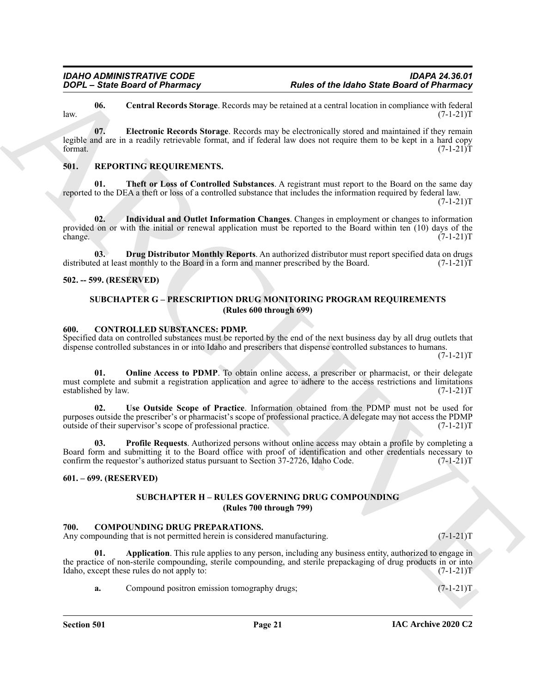<span id="page-20-14"></span><span id="page-20-13"></span>**06. Central Records Storage**. Records may be retained at a central location in compliance with federal  $l$ aw.  $(7-1-21)T$ 

**FORCE Since these of the stars of the stars of the labor State Board of Pharmachines<br>
16. Contributed the stars are located to the stars and the stars and the stars are expected to the stars and the stars are properties 07. Electronic Records Storage**. Records may be electronically stored and maintained if they remain legible and are in a readily retrievable format, and if federal law does not require them to be kept in a hard copy format. (7-1-21) format.  $(7-1-21)T$ 

#### <span id="page-20-15"></span><span id="page-20-0"></span>**501. REPORTING REQUIREMENTS.**

<span id="page-20-18"></span>**01. Theft or Loss of Controlled Substances**. A registrant must report to the Board on the same day reported to the DEA a theft or loss of a controlled substance that includes the information required by federal law.  $(7-1-21)T$ 

<span id="page-20-17"></span>**02. Individual and Outlet Information Changes**. Changes in employment or changes to information provided on or with the initial or renewal application must be reported to the Board within ten (10) days of the change. (7-1-21)T change. (7-1-21)T

<span id="page-20-16"></span>**03. Drug Distributor Monthly Reports**. An authorized distributor must report specified data on drugs distributed at least monthly to the Board in a form and manner prescribed by the Board. (7-1-21)T

#### <span id="page-20-2"></span><span id="page-20-1"></span>**502. -- 599. (RESERVED)**

#### <span id="page-20-9"></span>**SUBCHAPTER G – PRESCRIPTION DRUG MONITORING PROGRAM REQUIREMENTS (Rules 600 through 699)**

#### <span id="page-20-3"></span>**600. CONTROLLED SUBSTANCES: PDMP.**

Specified data on controlled substances must be reported by the end of the next business day by all drug outlets that dispense controlled substances in or into Idaho and prescribers that dispense controlled substances to humans.  $(7-1-21)T$ 

<span id="page-20-10"></span>**01. Online Access to PDMP**. To obtain online access, a prescriber or pharmacist, or their delegate must complete and submit a registration application and agree to adhere to the access restrictions and limitations established by law. (7-1-21)T established by law.

<span id="page-20-12"></span>**02. Use Outside Scope of Practice**. Information obtained from the PDMP must not be used for purposes outside the prescriber's or pharmacist's scope of professional practice. A delegate may not access the PDMP outside of their supervisor's scope of professional practice. (7-1-21) outside of their supervisor's scope of professional practice.

**03. Profile Requests**. Authorized persons without online access may obtain a profile by completing a Board form and submitting it to the Board office with proof of identification and other credentials necessary to confirm the requestor's authorized status pursuant to Section 37-2726, Idaho Code. (7-1-21)T confirm the requestor's authorized status pursuant to Section 37-2726, Idaho Code.

#### <span id="page-20-5"></span><span id="page-20-4"></span>**601. – 699. (RESERVED)**

#### <span id="page-20-11"></span><span id="page-20-8"></span>**SUBCHAPTER H – RULES GOVERNING DRUG COMPOUNDING (Rules 700 through 799)**

#### <span id="page-20-7"></span><span id="page-20-6"></span>**700. COMPOUNDING DRUG PREPARATIONS.**

Any compounding that is not permitted herein is considered manufacturing.  $(7-1-21)$ T

**01. Application**. This rule applies to any person, including any business entity, authorized to engage in the practice of non-sterile compounding, sterile compounding, and sterile prepackaging of drug products in or into<br>Idaho, except these rules do not apply to: (7-1-21) Idaho, except these rules do not apply to:

**a.** Compound positron emission tomography drugs;  $(7-1-21)$ T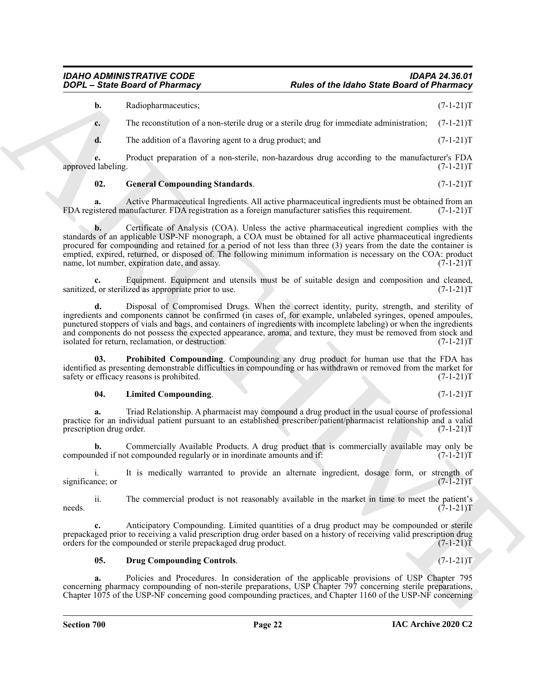## *IDAHO ADMINISTRATIVE CODE IDAPA 24.36.01*

|             | Radiopharmaceutics;                                                                                   | $(7-1-21)T$ |
|-------------|-------------------------------------------------------------------------------------------------------|-------------|
| $c_{\cdot}$ | The reconstitution of a non-sterile drug or a sterile drug for immediate administration; $(7-1-21)$ T |             |
|             | The addition of a flavoring agent to a drug product; and                                              | $(7-1-21)T$ |

**e.** Product preparation of a non-sterile, non-hazardous drug according to the manufacturer's FDA labeling. (7-1-21)T approved labeling.

#### <span id="page-21-1"></span>**02.** General Compounding Standards. (7-1-21)T

**a.** Active Pharmaceutical Ingredients. All active pharmaceutical ingredients must be obtained from an istered manufacturer. FDA registration as a foreign manufacturer satisfies this requirement. (7-1-21)T FDA registered manufacturer. FDA registration as a foreign manufacturer satisfies this requirement.

**EXAMPLE State Board of Phoenixay, Rules of the Idaho State Board of Phoenixay**<br>
(b) Responsible State Board of Phoenixay<br>
(c) The convention of a no-secula damp or a secula damp (w) consider a damp (c) (1-21) T<br>
(c) Th **b.** Certificate of Analysis (COA). Unless the active pharmaceutical ingredient complies with the standards of an applicable USP-NF monograph, a COA must be obtained for all active pharmaceutical ingredients procured for compounding and retained for a period of not less than three (3) years from the date the container is emptied, expired, returned, or disposed of. The following minimum information is necessary on the COA: product name, lot number, expiration date, and assay. (7-1-21)T

**c.** Equipment. Equipment and utensils must be of suitable design and composition and cleaned, or sterilized as appropriate prior to use. (7-1-21) sanitized, or sterilized as appropriate prior to use.

**d.** Disposal of Compromised Drugs. When the correct identity, purity, strength, and sterility of ingredients and components cannot be confirmed (in cases of, for example, unlabeled syringes, opened ampoules, punctured stoppers of vials and bags, and containers of ingredients with incomplete labeling) or when the ingredients and components do not possess the expected appearance, aroma, and texture, they must be removed from stock and isolated for return, reclamation, or destruction. isolated for return, reclamation, or destruction.

**03. Prohibited Compounding**. Compounding any drug product for human use that the FDA has identified as presenting demonstrable difficulties in compounding or has withdrawn or removed from the market for safety or efficacy reasons is prohibited. (7-1-21) safety or efficacy reasons is prohibited.

#### <span id="page-21-3"></span><span id="page-21-2"></span>**04. Limited Compounding**. (7-1-21)T

**a.** Triad Relationship. A pharmacist may compound a drug product in the usual course of professional practice for an individual patient pursuant to an established prescriber/patient/pharmacist relationship and a valid<br>(7-1-21)T prescription drug order.

**b.** Commercially Available Products. A drug product that is commercially available may only be noted if not compounded regularly or in inordinate amounts and if:  $(7-1-21)$ compounded if not compounded regularly or in inordinate amounts and if:

i. It is medically warranted to provide an alternate ingredient, dosage form, or strength of nce; or  $(7-1-21)$ T significance; or

ii. The commercial product is not reasonably available in the market in time to meet the patient's needs.  $(7-1-21)T$ 

**c.** Anticipatory Compounding. Limited quantities of a drug product may be compounded or sterile prepackaged prior to receiving a valid prescription drug order based on a history of receiving valid prescription drug orders for the compounded or sterile prepackaged drug product. (7-1-21) orders for the compounded or sterile prepackaged drug product.

#### <span id="page-21-0"></span>**05. Drug Compounding Controls**. (7-1-21)T

**a.** Policies and Procedures. In consideration of the applicable provisions of USP Chapter 795 concerning pharmacy compounding of non-sterile preparations, USP Chapter 797 concerning sterile preparations, Chapter 1075 of the USP-NF concerning good compounding practices, and Chapter 1160 of the USP-NF concerning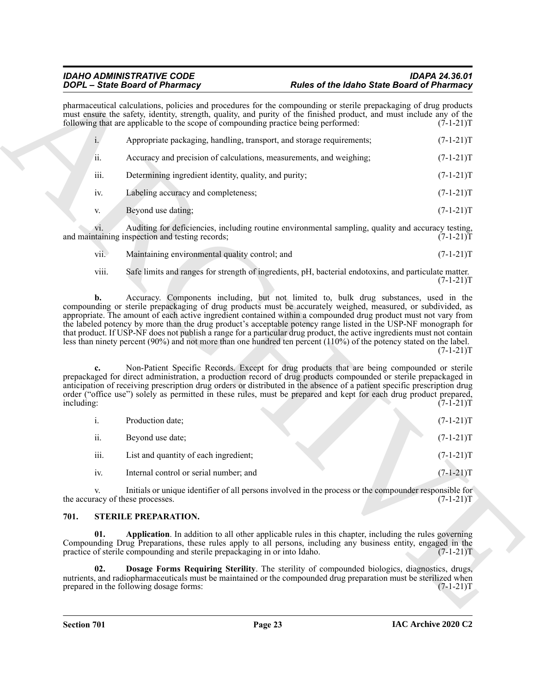| pharmaceutical calculations, policies and procedures for the compounding or sterile prepackaging of drug products<br>must ensure the safety, identity, strength, quality, and purity of the finished product, and must include any of the<br>following that are applicable to the scope of compounding practice being performed:<br>$i$ .<br>Appropriate packaging, handling, transport, and storage requirements;<br>ii.<br>Accuracy and precision of calculations, measurements, and weighing;<br>Determining ingredient identity, quality, and purity;<br>iii.<br>Labeling accuracy and completeness;<br>iv.<br>Beyond use dating;<br>V.<br>Auditing for deficiencies, including routine environmental sampling, quality and accuracy testing,<br>V1.<br>and maintaining inspection and testing records;<br>Maintaining environmental quality control; and<br>vii.<br>viii.<br>Safe limits and ranges for strength of ingredients, pH, bacterial endotoxins, and particulate matter.<br>Accuracy. Components including, but not limited to, bulk drug substances, used in the<br>b.<br>compounding or sterile prepackaging of drug products must be accurately weighed, measured, or subdivided, as<br>appropriate. The amount of each active ingredient contained within a compounded drug product must not vary from<br>the labeled potency by more than the drug product's acceptable potency range listed in the USP-NF monograph for | $(7-1-21)T$<br>$(7-1-21)T$<br>$(7-1-21)T$<br>$(7-1-21)T$<br>$(7-1-21)T$<br>$(7-1-21)T$<br>$(7-1-21)T$<br>$(7-1-21)T$<br>$(7-1-21)T$ |
|----------------------------------------------------------------------------------------------------------------------------------------------------------------------------------------------------------------------------------------------------------------------------------------------------------------------------------------------------------------------------------------------------------------------------------------------------------------------------------------------------------------------------------------------------------------------------------------------------------------------------------------------------------------------------------------------------------------------------------------------------------------------------------------------------------------------------------------------------------------------------------------------------------------------------------------------------------------------------------------------------------------------------------------------------------------------------------------------------------------------------------------------------------------------------------------------------------------------------------------------------------------------------------------------------------------------------------------------------------------------------------------------------------------------------------------------|-------------------------------------------------------------------------------------------------------------------------------------|
|                                                                                                                                                                                                                                                                                                                                                                                                                                                                                                                                                                                                                                                                                                                                                                                                                                                                                                                                                                                                                                                                                                                                                                                                                                                                                                                                                                                                                                              |                                                                                                                                     |
|                                                                                                                                                                                                                                                                                                                                                                                                                                                                                                                                                                                                                                                                                                                                                                                                                                                                                                                                                                                                                                                                                                                                                                                                                                                                                                                                                                                                                                              |                                                                                                                                     |
|                                                                                                                                                                                                                                                                                                                                                                                                                                                                                                                                                                                                                                                                                                                                                                                                                                                                                                                                                                                                                                                                                                                                                                                                                                                                                                                                                                                                                                              |                                                                                                                                     |
|                                                                                                                                                                                                                                                                                                                                                                                                                                                                                                                                                                                                                                                                                                                                                                                                                                                                                                                                                                                                                                                                                                                                                                                                                                                                                                                                                                                                                                              |                                                                                                                                     |
|                                                                                                                                                                                                                                                                                                                                                                                                                                                                                                                                                                                                                                                                                                                                                                                                                                                                                                                                                                                                                                                                                                                                                                                                                                                                                                                                                                                                                                              |                                                                                                                                     |
|                                                                                                                                                                                                                                                                                                                                                                                                                                                                                                                                                                                                                                                                                                                                                                                                                                                                                                                                                                                                                                                                                                                                                                                                                                                                                                                                                                                                                                              |                                                                                                                                     |
|                                                                                                                                                                                                                                                                                                                                                                                                                                                                                                                                                                                                                                                                                                                                                                                                                                                                                                                                                                                                                                                                                                                                                                                                                                                                                                                                                                                                                                              |                                                                                                                                     |
|                                                                                                                                                                                                                                                                                                                                                                                                                                                                                                                                                                                                                                                                                                                                                                                                                                                                                                                                                                                                                                                                                                                                                                                                                                                                                                                                                                                                                                              |                                                                                                                                     |
|                                                                                                                                                                                                                                                                                                                                                                                                                                                                                                                                                                                                                                                                                                                                                                                                                                                                                                                                                                                                                                                                                                                                                                                                                                                                                                                                                                                                                                              |                                                                                                                                     |
| that product. If USP-NF does not publish a range for a particular drug product, the active ingredients must not contain<br>less than ninety percent (90%) and not more than one hundred ten percent (110%) of the potency stated on the label.<br>Non-Patient Specific Records. Except for drug products that are being compounded or sterile<br>prepackaged for direct administration, a production record of drug products compounded or sterile prepackaged in<br>anticipation of receiving prescription drug orders or distributed in the absence of a patient specific prescription drug<br>order ("office use") solely as permitted in these rules, must be prepared and kept for each drug product prepared,                                                                                                                                                                                                                                                                                                                                                                                                                                                                                                                                                                                                                                                                                                                          | $(7-1-21)T$                                                                                                                         |
| including:                                                                                                                                                                                                                                                                                                                                                                                                                                                                                                                                                                                                                                                                                                                                                                                                                                                                                                                                                                                                                                                                                                                                                                                                                                                                                                                                                                                                                                   | $(7-I-21)T$                                                                                                                         |
| Production date;<br>$\mathbf{i}$ .                                                                                                                                                                                                                                                                                                                                                                                                                                                                                                                                                                                                                                                                                                                                                                                                                                                                                                                                                                                                                                                                                                                                                                                                                                                                                                                                                                                                           | $(7-1-21)T$                                                                                                                         |
| ii.<br>Beyond use date;                                                                                                                                                                                                                                                                                                                                                                                                                                                                                                                                                                                                                                                                                                                                                                                                                                                                                                                                                                                                                                                                                                                                                                                                                                                                                                                                                                                                                      | $(7-1-21)T$                                                                                                                         |
| iii.<br>List and quantity of each ingredient;                                                                                                                                                                                                                                                                                                                                                                                                                                                                                                                                                                                                                                                                                                                                                                                                                                                                                                                                                                                                                                                                                                                                                                                                                                                                                                                                                                                                | $(7-1-21)T$                                                                                                                         |
| Internal control or serial number; and<br>iv.                                                                                                                                                                                                                                                                                                                                                                                                                                                                                                                                                                                                                                                                                                                                                                                                                                                                                                                                                                                                                                                                                                                                                                                                                                                                                                                                                                                                | $(7-1-21)T$                                                                                                                         |
| Initials or unique identifier of all persons involved in the process or the compounder responsible for<br>V.<br>the accuracy of these processes.                                                                                                                                                                                                                                                                                                                                                                                                                                                                                                                                                                                                                                                                                                                                                                                                                                                                                                                                                                                                                                                                                                                                                                                                                                                                                             | $(7-1-21)T$                                                                                                                         |
| STERILE PREPARATION.<br>701.                                                                                                                                                                                                                                                                                                                                                                                                                                                                                                                                                                                                                                                                                                                                                                                                                                                                                                                                                                                                                                                                                                                                                                                                                                                                                                                                                                                                                 |                                                                                                                                     |
| 01.<br>Application. In addition to all other applicable rules in this chapter, including the rules governing<br>Compounding Drug Preparations, these rules apply to all persons, including any business entity, engaged in the<br>practice of sterile compounding and sterile prepackaging in or into Idaho.                                                                                                                                                                                                                                                                                                                                                                                                                                                                                                                                                                                                                                                                                                                                                                                                                                                                                                                                                                                                                                                                                                                                 | $(7-1-21)T$                                                                                                                         |
| Dosage Forms Requiring Sterility. The sterility of compounded biologics, diagnostics, drugs,<br>02.<br>nutrients, and radiopharmaceuticals must be maintained or the compounded drug preparation must be sterilized when<br>prepared in the following dosage forms:                                                                                                                                                                                                                                                                                                                                                                                                                                                                                                                                                                                                                                                                                                                                                                                                                                                                                                                                                                                                                                                                                                                                                                          | $(7-1-21)T$                                                                                                                         |
|                                                                                                                                                                                                                                                                                                                                                                                                                                                                                                                                                                                                                                                                                                                                                                                                                                                                                                                                                                                                                                                                                                                                                                                                                                                                                                                                                                                                                                              |                                                                                                                                     |

| VII. | Maintaining environmental quality control; and | $(7-1-21)T$ |
|------|------------------------------------------------|-------------|
|      |                                                |             |
|      |                                                |             |

|      | Production date;                       |  | $(7-1-21)T$ |
|------|----------------------------------------|--|-------------|
| ii.  | Beyond use date;                       |  | $(7-1-21)T$ |
| iii. | List and quantity of each ingredient;  |  | $(7-1-21)T$ |
| iv.  | Internal control or serial number; and |  | $(7-1-21)T$ |

#### <span id="page-22-3"></span><span id="page-22-2"></span><span id="page-22-1"></span><span id="page-22-0"></span>**701. STERILE PREPARATION.**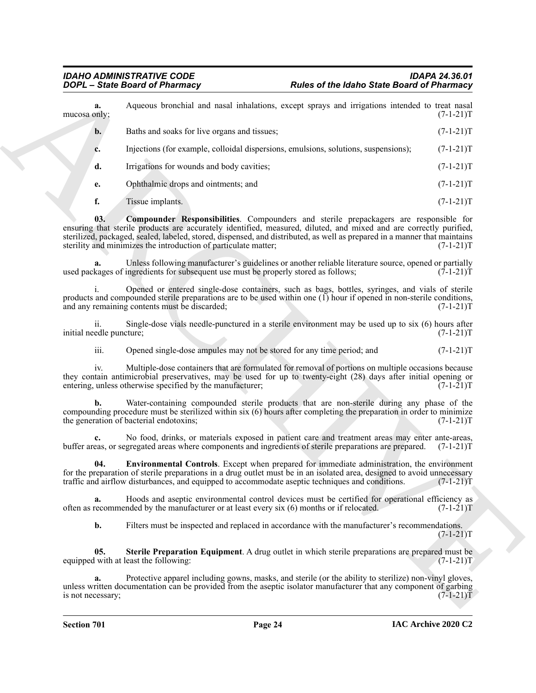<span id="page-23-2"></span><span id="page-23-1"></span><span id="page-23-0"></span>

|                                 | <b>DOPL</b> - State Board of Pharmacy                                                                                                                                                                                                                                                                                                                                                                       | Rules of the Idaho State Board of Pharmacy                                                                    |  |  |  |
|---------------------------------|-------------------------------------------------------------------------------------------------------------------------------------------------------------------------------------------------------------------------------------------------------------------------------------------------------------------------------------------------------------------------------------------------------------|---------------------------------------------------------------------------------------------------------------|--|--|--|
| a.<br>mucosa only;              |                                                                                                                                                                                                                                                                                                                                                                                                             | Aqueous bronchial and nasal inhalations, except sprays and irrigations intended to treat nasal<br>$(7-1-21)T$ |  |  |  |
| $\mathbf{b}$ .                  | Baths and soaks for live organs and tissues;                                                                                                                                                                                                                                                                                                                                                                | $(7-1-21)T$                                                                                                   |  |  |  |
| c.                              | Injections (for example, colloidal dispersions, emulsions, solutions, suspensions);                                                                                                                                                                                                                                                                                                                         | $(7-1-21)T$                                                                                                   |  |  |  |
| d.                              | Irrigations for wounds and body cavities;                                                                                                                                                                                                                                                                                                                                                                   | $(7-1-21)T$                                                                                                   |  |  |  |
| e.                              | Ophthalmic drops and ointments; and                                                                                                                                                                                                                                                                                                                                                                         | $(7-1-21)T$                                                                                                   |  |  |  |
| f.                              | Tissue implants.                                                                                                                                                                                                                                                                                                                                                                                            | $(7-1-21)T$                                                                                                   |  |  |  |
| 03.                             | Compounder Responsibilities. Compounders and sterile prepackagers are responsible for<br>ensuring that sterile products are accurately identified, measured, diluted, and mixed and are correctly purified,<br>sterilized, packaged, sealed, labeled, stored, dispensed, and distributed, as well as prepared in a manner that maintains<br>sterility and minimizes the introduction of particulate matter; | $(7-1-21)T$                                                                                                   |  |  |  |
| a.                              | Unless following manufacturer's guidelines or another reliable literature source, opened or partially<br>used packages of ingredients for subsequent use must be properly stored as follows;                                                                                                                                                                                                                | $(7-1-21)T$                                                                                                   |  |  |  |
|                                 | Opened or entered single-dose containers, such as bags, bottles, syringes, and vials of sterile<br>products and compounded sterile preparations are to be used within one (1) hour if opened in non-sterile conditions,<br>and any remaining contents must be discarded;                                                                                                                                    | $(7-1-21)T$                                                                                                   |  |  |  |
| ii.<br>initial needle puncture; | Single-dose vials needle-punctured in a sterile environment may be used up to six (6) hours after                                                                                                                                                                                                                                                                                                           | $(7-1-21)T$                                                                                                   |  |  |  |
| iii.                            | Opened single-dose ampules may not be stored for any time period; and                                                                                                                                                                                                                                                                                                                                       | $(7-1-21)T$                                                                                                   |  |  |  |
| iv.                             | Multiple-dose containers that are formulated for removal of portions on multiple occasions because<br>they contain antimicrobial preservatives, may be used for up to twenty-eight (28) days after initial opening or<br>entering, unless otherwise specified by the manufacturer;                                                                                                                          | $(7-1-21)T$                                                                                                   |  |  |  |
| b.                              | Water-containing compounded sterile products that are non-sterile during any phase of the<br>compounding procedure must be sterilized within six (6) hours after completing the preparation in order to minimize<br>the generation of bacterial endotoxins;                                                                                                                                                 | $(7-1-21)T$                                                                                                   |  |  |  |
| c.                              | No food, drinks, or materials exposed in patient care and treatment areas may enter ante-areas,<br>buffer areas, or segregated areas where components and ingredients of sterile preparations are prepared. (7-1-21)T                                                                                                                                                                                       |                                                                                                               |  |  |  |
| 04.                             | Environmental Controls. Except when prepared for immediate administration, the environment<br>for the preparation of sterile preparations in a drug outlet must be in an isolated area, designed to avoid unnecessary<br>traffic and airflow disturbances, and equipped to accommodate aseptic techniques and conditions.                                                                                   | $(7-1-21)T$                                                                                                   |  |  |  |
| a.                              | Hoods and aseptic environmental control devices must be certified for operational efficiency as<br>often as recommended by the manufacturer or at least every six (6) months or if relocated.                                                                                                                                                                                                               | $(7-1-21)T$                                                                                                   |  |  |  |
| b.                              | Filters must be inspected and replaced in accordance with the manufacturer's recommendations.                                                                                                                                                                                                                                                                                                               | $(7-1-21)T$                                                                                                   |  |  |  |
| 05.                             | Sterile Preparation Equipment. A drug outlet in which sterile preparations are prepared must be<br>equipped with at least the following:                                                                                                                                                                                                                                                                    | $(7-1-21)T$                                                                                                   |  |  |  |
| a.<br>is not necessary;         | Protective apparel including gowns, masks, and sterile (or the ability to sterilize) non-vinyl gloves,<br>unless written documentation can be provided from the aseptic isolator manufacturer that any component of garbing                                                                                                                                                                                 | $(7-1-21)T$                                                                                                   |  |  |  |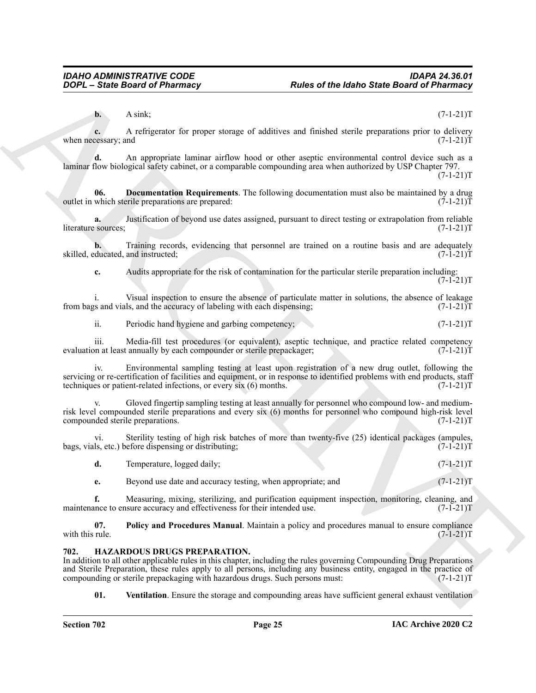**b.** A sink; (7-1-21)T

**c.** A refrigerator for proper storage of additives and finished sterile preparations prior to delivery when necessary; and  $(7-1-21)$ T

**d.** An appropriate laminar airflow hood or other aseptic environmental control device such as a laminar flow biological safety cabinet, or a comparable compounding area when authorized by USP Chapter 797.

 $(7-1-21)T$ 

<span id="page-24-3"></span>**06.** Documentation Requirements. The following documentation must also be maintained by a drug which sterile preparations are prepared:  $(7-1-21)$ T outlet in which sterile preparations are prepared:

**a.** Justification of beyond use dates assigned, pursuant to direct testing or extrapolation from reliable literature sources; (7-1-21)T

**b.** Training records, evidencing that personnel are trained on a routine basis and are adequately ducated, and instructed; (7-1-21) skilled, educated, and instructed;

**c.** Audits appropriate for the risk of contamination for the particular sterile preparation including:  $(7-1-21)T$ 

i. Visual inspection to ensure the absence of particulate matter in solutions, the absence of leakage s and vials, and the accuracy of labeling with each dispensing;  $(7-1-21)$ from bags and vials, and the accuracy of labeling with each dispensing;

ii. Periodic hand hygiene and garbing competency; (7-1-21)T

iii. Media-fill test procedures (or equivalent), aseptic technique, and practice related competency<br>on at least annually by each compounder or sterile prepackager; (7-1-21) evaluation at least annually by each compounder or sterile prepackager;

iv. Environmental sampling testing at least upon registration of a new drug outlet, following the servicing or re-certification of facilities and equipment, or in response to identified problems with end products, staff techniques or patient-related infections, or every six (6) months. (7-1-21) techniques or patient-related infections, or every  $s$ ix  $(6)$  months.

**EXAMPLE CONTROL CONTROL CONTROL CONTROL CONTROL CONTROL CONTROL CONTROL CONTROL CONTROL CONTROL CONTROL CONTROL CONTROL CONTROL CONTROL CONTROL CONTROL CONTROL CONTROL CONTROL CONTROL CONTROL CONTROL CONTROL CONTROL CONT** Gloved fingertip sampling testing at least annually for personnel who compound low- and mediumrisk level compounded sterile preparations and every six (6) months for personnel who compound high-risk level<br>compounded sterile preparations. (7-1-21) compounded sterile preparations.

vi. Sterility testing of high risk batches of more than twenty-five (25) identical packages (ampules, ls, etc.) before dispensing or distributing;  $(7-1-21)$ bags, vials, etc.) before dispensing or distributing;

| Temperature, logged daily; |  | $(7-1-21)T$ |
|----------------------------|--|-------------|
|                            |  |             |

**e.** Beyond use date and accuracy testing, when appropriate; and  $(7-1-21)$ T

**f.** Measuring, mixing, sterilizing, and purification equipment inspection, monitoring, cleaning, and ance to ensure accuracy and effectiveness for their intended use. (7-1-21) maintenance to ensure accuracy and effectiveness for their intended use.

**07.** Policy and Procedures Manual. Maintain a policy and procedures manual to ensure compliance with this rule.  $(7-1-21)T$ with this rule.  $(7-1-21)T$ 

#### <span id="page-24-1"></span><span id="page-24-0"></span>**702. HAZARDOUS DRUGS PREPARATION.**

In addition to all other applicable rules in this chapter, including the rules governing Compounding Drug Preparations and Sterile Preparation, these rules apply to all persons, including any business entity, engaged in the practice of compounding or sterile prepackaging with hazardous drugs. Such persons must: (7-1-21) compounding or sterile prepackaging with hazardous drugs. Such persons must:

<span id="page-24-2"></span>**01. Ventilation**. Ensure the storage and compounding areas have sufficient general exhaust ventilation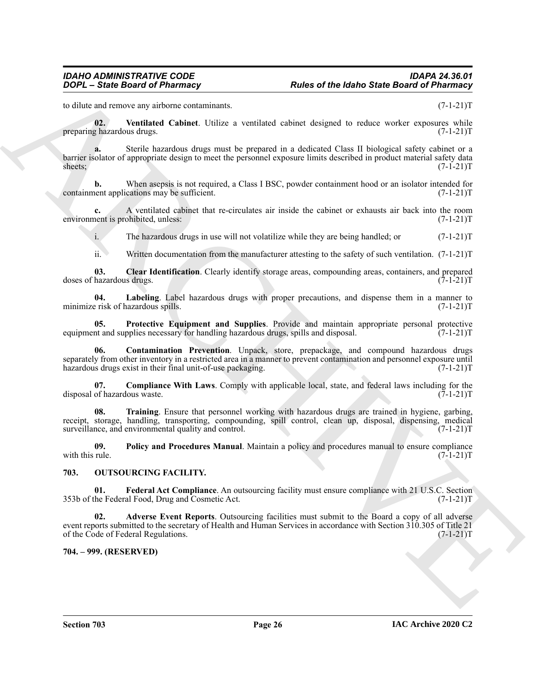<span id="page-25-9"></span>to dilute and remove any airborne contaminants.  $(7-1-21)$ T

**02.** Ventilated Cabinet. Utilize a ventilated cabinet designed to reduce worker exposures while  $\frac{1}{2}$  hazardous drugs. (7-1-21) preparing hazardous drugs.

**EVERY CONSULTER CONTRACT CONTRACT CONTRACT CONTRACT CONTRACT CONTRACT CONTRACT CONTRACT CONTRACT CONTRACT CONTRACT CONTRACT CONTRACT CONTRACT CONTRACT CONTRACT CONTRACT CONTRACT CONTRACT CONTRACT CONTRACT CONTRACT CONTRA a.** Sterile hazardous drugs must be prepared in a dedicated Class II biological safety cabinet or a barrier isolator of appropriate design to meet the personnel exposure limits described in product material safety data sheets;  $(7-1-21)T$ 

**b.** When asepsis is not required, a Class I BSC, powder containment hood or an isolator intended for ent applications may be sufficient. (7-1-21)T containment applications may be sufficient.

**c.** A ventilated cabinet that re-circulates air inside the cabinet or exhausts air back into the room nent is prohibited, unless:  $(7-1-21)$ environment is prohibited, unless:

i. The hazardous drugs in use will not volatilize while they are being handled; or (7-1-21)T

<span id="page-25-5"></span><span id="page-25-2"></span>ii. Written documentation from the manufacturer attesting to the safety of such ventilation. (7-1-21)T

**03.** Clear Identification. Clearly identify storage areas, compounding areas, containers, and prepared hazardous drugs.  $(7-1-21)T$ doses of hazardous drugs.

**04.** Labeling. Label hazardous drugs with proper precautions, and dispense them in a manner to exist of hazardous spills. (7-1-21) minimize risk of hazardous spills.

<span id="page-25-7"></span>**05.** Protective Equipment and Supplies. Provide and maintain appropriate personal protective int and supplies necessary for handling hazardous drugs, spills and disposal.  $(7-1-21)$ equipment and supplies necessary for handling hazardous drugs, spills and disposal.

<span id="page-25-4"></span>**06. Contamination Prevention**. Unpack, store, prepackage, and compound hazardous drugs separately from other inventory in a restricted area in a manner to prevent contamination and personnel exposure until<br>hazardous drugs exist in their final unit-of-use packaging. (7-1-21) hazardous drugs exist in their final unit-of-use packaging.

<span id="page-25-3"></span>**07. Compliance With Laws**. Comply with applicable local, state, and federal laws including for the disposal of hazardous waste. (7-1-21)T

<span id="page-25-8"></span>**08. Training**. Ensure that personnel working with hazardous drugs are trained in hygiene, garbing, receipt, storage, handling, transporting, compounding, spill control, clean up, disposal, dispensing, medical surveillance, and environmental quality and control. (7-1-21)T

<span id="page-25-6"></span>**09.** Policy and Procedures Manual. Maintain a policy and procedures manual to ensure compliance with this rule.  $(7-1-21)T$ with this rule.  $(7-1-21)T$ 

#### <span id="page-25-10"></span><span id="page-25-0"></span>**703. OUTSOURCING FACILITY.**

<span id="page-25-12"></span>**01.** Federal Act Compliance. An outsourcing facility must ensure compliance with 21 U.S.C. Section the Federal Food, Drug and Cosmetic Act. (7-1-21) 353b of the Federal Food, Drug and Cosmetic Act.

<span id="page-25-11"></span>**02. Adverse Event Reports**. Outsourcing facilities must submit to the Board a copy of all adverse event reports submitted to the secretary of Health and Human Services in accordance with Section 310.305 of Title 21 of the Code of Federal Regulations. (7-1-21) of the Code of Federal Regulations.

<span id="page-25-1"></span>**704. – 999. (RESERVED)**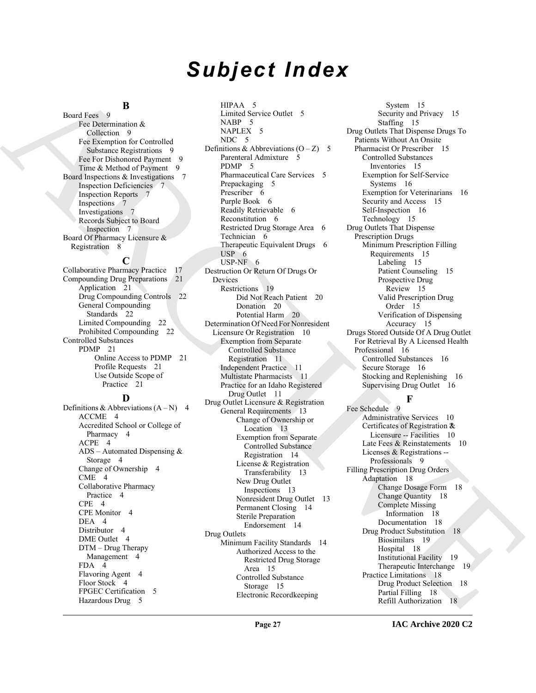# *Subject Index*

#### **B**

Board Fees 9 Fee Determination & Collection 9 Fee Exemption for Controlled Substance Registrations 9 Fee For Dishonored Payment 9 Time & Method of Payment 9 Board Inspections & Investigations 7 Inspection Deficiencies 7 Inspection Reports 7 Inspections 7 Investigations 7 Records Subject to Board Inspection 7 Board Of Pharmacy Licensure & Registration 8

#### **C**

Collaborative Pharmacy Practice 17 Compounding Drug Preparations 21 Application 21 Drug Compounding Controls 22 General Compounding Standards 22 Limited Compounding 22 Prohibited Compounding 22 Controlled Substances PDMP 21 Online Access to PDMP 21 Profile Requests 21 Use Outside Scope of Practice 21

#### **D**

Definitions & Abbreviations  $(A-N)$  4 ACCME 4 Accredited School or College of Pharmacy 4 ACPE 4 ADS – Automated Dispensing & Storage 4 Change of Ownership 4 CME 4 Collaborative Pharmacy Practice 4 CPE 4 CPE Monitor 4 DEA 4 Distributor 4 DME Outlet 4 DTM – Drug Therapy Management 4 FDA 4 Flavoring Agent 4 Floor Stock 4 FPGEC Certification 5 Hazardous Drug 5

[A](#page-8-3)[R](#page-6-8)[CH](#page-10-3)[I](#page-13-7)[V](#page-9-4)[E](#page-17-6) HIPAA 5 Limited Service Outlet 5 NABP 5 NAPLEX<sub>5</sub> NDC 5 Definitions & Abbreviations  $(O - Z)$  5 Parenteral Admixture 5 PDMP 5 Pharmaceutical Care Services 5 Prepackaging 5 Prescriber 6 Purple Book 6 Readily Retrievable 6 Reconstitution 6 Restricted Drug Storage Area 6 Technician 6 Therapeutic Equivalent Drugs 6 USP<sub>6</sub> USP-NF 6 Destruction Or Return Of Drugs Or Devices Restrictions 19 Did Not Reach Patient 20 Donation 20 Potential Harm 20 Determination Of Need For Nonresident Licensure Or Registration 10 Exemption from Separate Controlled Substance Registration 11 Independent Practice 11 Multistate Pharmacists 11 Practice for an Idaho Registered Drug Outlet 11 Drug Outlet Licensure & Registration General Requirements 13 Change of Ownership or Location 13 Exemption from Separate Controlled Substance Registration 14 License & Registration Transferability 13 New Drug Outlet Inspections 13 Nonresident Drug Outlet 13 Permanent Closing 14 Sterile Preparation Endorsement 14 Drug Outlets Minimum Facility Standards 14 Authorized Access to the Restricted Drug Storage Area 15 Controlled Substance Storage 15

System 15 Security and Privacy 15 Staffing 15 Drug Outlets That Dispense Drugs To Patients Without An Onsite Pharmacist Or Prescriber 15 Controlled Substances Inventories 15 Exemption for Self-Service Systems 16 Exemption for Veterinarians 16 Security and Access 15 Self-Inspection 16 Technology 15 Drug Outlets That Dispense Prescription Drugs Minimum Prescription Filling Requirements 15 Labeling 15 Patient Counseling 15 Prospective Drug Review 15 Valid Prescription Drug Order 15 Verification of Dispensing Accuracy 15 Drugs Stored Outside Of A Drug Outlet For Retrieval By A Licensed Health Professional 16 Controlled Substances 16 Secure Storage 16 Stocking and Replenishing 16 Supervising Drug Outlet 16

#### **F**

Fee Schedule 9 Administrative Services 10 Certificates of Registration ?& Licensure -- Facilities 10 Late Fees & Reinstatements 10 Licenses & Registrations -- Professionals 9 Filling Prescription Drug Orders Adaptation 18 Change Dosage Form 18 Change Quantity 18 Complete Missing Information 18 Documentation 18 Drug Product Substitution 18 Biosimilars 19 Hospital 18 Institutional Facility 19 Therapeutic Interchange 19 Practice Limitations 18 Drug Product Selection 18 Partial Filling 18 Refill Authorization 18

Electronic Recordkeeping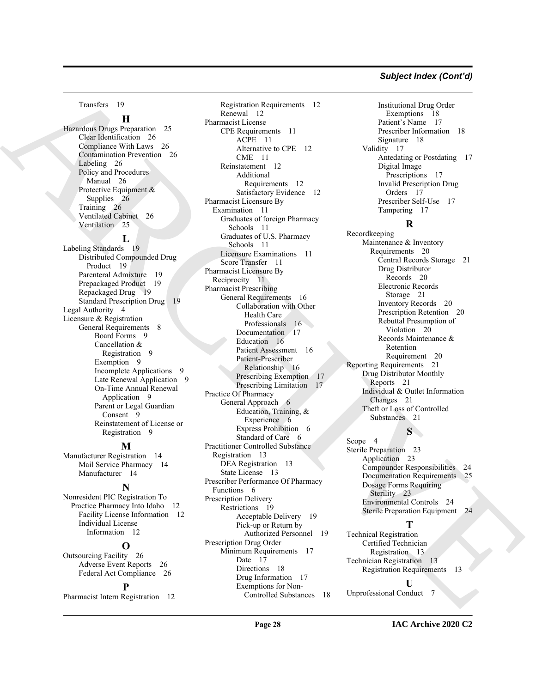#### *Subject Index (Cont'd)*

Transfers 19

#### **H**

Hazardous Drugs Preparation 25 Clear Identification 26 Compliance With Laws 26 Contamination Prevention 26 Labeling 26 Policy and Procedures Manual 26 Protective Equipment & Supplies 26 Training 26 Ventilated Cabinet 26 Ventilation 25

#### **L**

Labeling Standards 19 Distributed Compounded Drug Product 19 Parenteral Admixture 19 Prepackaged Product 19 Repackaged Drug 19 Standard Prescription Drug 19 Legal Authority 4 Licensure & Registration General Requirements 8 Board Forms 9 Cancellation & Registration 9 Exemption 9 Incomplete Applications 9 Late Renewal Application 9 On-Time Annual Renewal Application 9 Parent or Legal Guardian Consent 9 Reinstatement of License or Registration 9

#### **M**

Manufacturer Registration 14 Mail Service Pharmacy 14 Manufacturer 14

#### **N**

Nonresident PIC Registration To Practice Pharmacy Into Idaho 12 Facility License Information 12 Individual License Information 12

#### **O**

Outsourcing Facility 26 Adverse Event Reports 26 Federal Act Compliance 26

#### **P**

Pharmacist Intern Registration 12

The contribution of the contribution of the contribution of the contribution of the contribution of the contribution of the contribution of the contribution of the contribution of the contribution of the contribution of t Registration Requirements 12 Renewal 12 Pharmacist License CPE Requirements 11 ACPE 11 Alternative to CPE 12 CME 11 Reinstatement 12 Additional Requirements 12 Satisfactory Evidence 12 Pharmacist Licensure By Examination 11 Graduates of foreign Pharmacy Schools 11 Graduates of U.S. Pharmacy Schools 11 Licensure Examinations 11 Score Transfer 11 Pharmacist Licensure By Reciprocity 11 Pharmacist Prescribing General Requirements 16 Collaboration with Other Health Care Professionals 16 Documentation 17 Education 16 Patient Assessment 16 Patient-Prescriber Relationship 16 Prescribing Exemption 17 Prescribing Limitation 17 Practice Of Pharmacy General Approach 6 Education, Training, & Experience 6 Express Prohibition 6 Standard of Care 6 Practitioner Controlled Substance Registration 13 DEA Registration 13 State License 13 Prescriber Performance Of Pharmacy Functions 6 Prescription Delivery Restrictions 19 Acceptable Delivery 19 Pick-up or Return by Authorized Personnel 19 Prescription Drug Order Minimum Requirements 17 Date 17 Directions 18 Drug Information 17

Exemptions for Non-Controlled Substances 18

Institutional Drug Order Exemptions 18 Patient's Name 17 Prescriber Information 18 Signature 18 Validity 17 Antedating or Postdating 17 Digital Image Prescriptions 17 Invalid Prescription Drug Orders 17 Prescriber Self-Use 17 Tampering 17

#### **R**

Recordkeeping Maintenance & Inventory Requirements 20 Central Records Storage 21 Drug Distributor Records 20 Electronic Records Storage 21 Inventory Records 20 Prescription Retention 20 Rebuttal Presumption of Violation 20 Records Maintenance & Retention Requirement 20 Reporting Requirements 21 Drug Distributor Monthly Reports 21 Individual & Outlet Information Changes 21 Theft or Loss of Controlled Substances 21

### **S**

Scope 4 Sterile Preparation 23 Application 23 Compounder Responsibilities 24 Documentation Requirements 25 Dosage Forms Requiring Sterility 23 Environmental Controls 24 Sterile Preparation Equipment 24

#### **T**

Technical Registration Certified Technician Registration 13 Technician Registration 13 Registration Requirements 13

#### **U**

Unprofessional Conduct 7